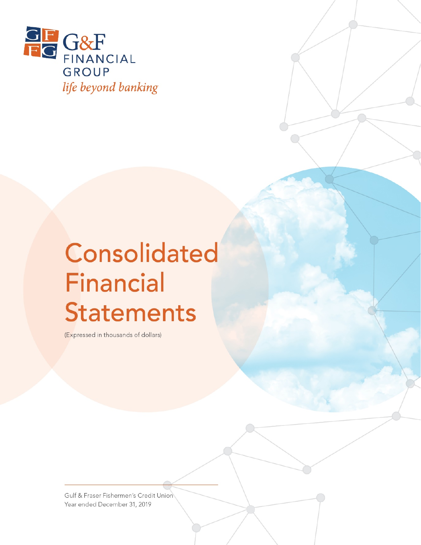

# Consolidated **Financial Statements**

(Expressed in thousands of dollars)

Gulf & Fraser Fishermen's Credit Union Year ended December 31, 2019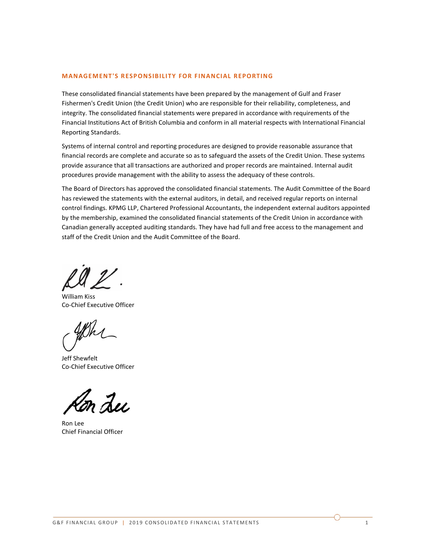### **MANAGEMENT'S RESPONSIBILITY FOR FINANCIAL REPORTING**

These consolidated financial statements have been prepared by the management of Gulf and Fraser Fishermen's Credit Union (the Credit Union) who are responsible for their reliability, completeness, and integrity. The consolidated financial statements were prepared in accordance with requirements of the Financial Institutions Act of British Columbia and conform in all material respects with International Financial Reporting Standards.

Systems of internal control and reporting procedures are designed to provide reasonable assurance that financial records are complete and accurate so as to safeguard the assets of the Credit Union. These systems provide assurance that all transactions are authorized and proper records are maintained. Internal audit procedures provide management with the ability to assess the adequacy of these controls.

The Board of Directors has approved the consolidated financial statements. The Audit Committee of the Board has reviewed the statements with the external auditors, in detail, and received regular reports on internal control findings. KPMG LLP, Chartered Professional Accountants, the independent external auditors appointed by the membership, examined the consolidated financial statements of the Credit Union in accordance with Canadian generally accepted auditing standards. They have had full and free access to the management and staff of the Credit Union and the Audit Committee of the Board.

William Kiss Co-Chief Executive Officer

Jeff Shewfelt Co-Chief Executive Officer

m Lu

Ron Lee Chief Financial Officer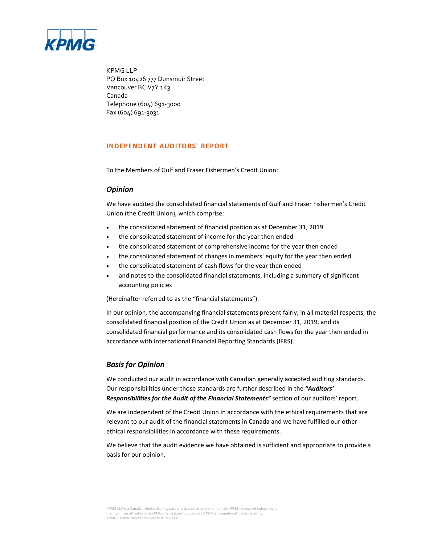

KPMG LLP PO Box 10426 777 Dunsmuir Street Vancouver BC V7Y 1K3 Canada Telephone (604) 691-3000 Fax (604) 691-3031

### **INDEPENDENT AUDITORS' REPORT**

To the Members of Gulf and Fraser Fishermen's Credit Union:

### *Opinion*

We have audited the consolidated financial statements of Gulf and Fraser Fishermen's Credit Union (the Credit Union), which comprise:

- the consolidated statement of financial position as at December 31, 2019
- the consolidated statement of income for the year then ended
- the consolidated statement of comprehensive income for the year then ended
- the consolidated statement of changes in members' equity for the year then ended
- the consolidated statement of cash flows for the year then ended
- and notes to the consolidated financial statements, including a summary of significant accounting policies

(Hereinafter referred to as the "financial statements").

In our opinion, the accompanying financial statements present fairly, in all material respects, the consolidated financial position of the Credit Union as at December 31, 2019, and its consolidated financial performance and its consolidated cash flows for the year then ended in accordance with International Financial Reporting Standards (IFRS).

### *Basis for Opinion*

We conducted our audit in accordance with Canadian generally accepted auditing standards. Our responsibilities under those standards are further described in the *"Auditors' Responsibilities for the Audit of the Financial Statements"* section of our auditors' report.

We are independent of the Credit Union in accordance with the ethical requirements that are relevant to our audit of the financial statements in Canada and we have fulfilled our other ethical responsibilities in accordance with these requirements.

We believe that the audit evidence we have obtained is sufficient and appropriate to provide a basis for our opinion.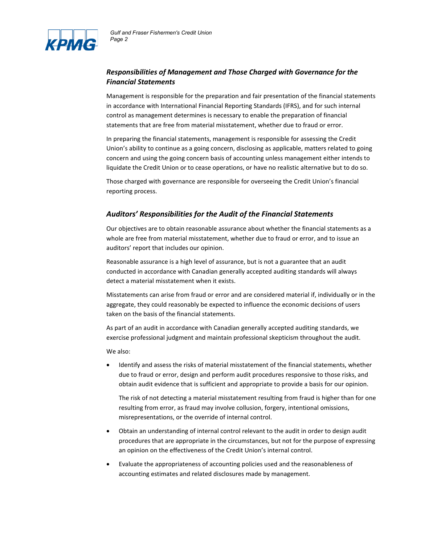

### *Responsibilities of Management and Those Charged with Governance for the Financial Statements*

Management is responsible for the preparation and fair presentation of the financial statements in accordance with International Financial Reporting Standards (IFRS), and for such internal control as management determines is necessary to enable the preparation of financial statements that are free from material misstatement, whether due to fraud or error.

In preparing the financial statements, management is responsible for assessing the Credit Union's ability to continue as a going concern, disclosing as applicable, matters related to going concern and using the going concern basis of accounting unless management either intends to liquidate the Credit Union or to cease operations, or have no realistic alternative but to do so.

Those charged with governance are responsible for overseeing the Credit Union's financial reporting process.

### *Auditors' Responsibilities for the Audit of the Financial Statements*

Our objectives are to obtain reasonable assurance about whether the financial statements as a whole are free from material misstatement, whether due to fraud or error, and to issue an auditors' report that includes our opinion.

Reasonable assurance is a high level of assurance, but is not a guarantee that an audit conducted in accordance with Canadian generally accepted auditing standards will always detect a material misstatement when it exists.

Misstatements can arise from fraud or error and are considered material if, individually or in the aggregate, they could reasonably be expected to influence the economic decisions of users taken on the basis of the financial statements.

As part of an audit in accordance with Canadian generally accepted auditing standards, we exercise professional judgment and maintain professional skepticism throughout the audit.

We also:

• Identify and assess the risks of material misstatement of the financial statements, whether due to fraud or error, design and perform audit procedures responsive to those risks, and obtain audit evidence that is sufficient and appropriate to provide a basis for our opinion.

The risk of not detecting a material misstatement resulting from fraud is higher than for one resulting from error, as fraud may involve collusion, forgery, intentional omissions, misrepresentations, or the override of internal control.

- Obtain an understanding of internal control relevant to the audit in order to design audit procedures that are appropriate in the circumstances, but not for the purpose of expressing an opinion on the effectiveness of the Credit Union's internal control.
- Evaluate the appropriateness of accounting policies used and the reasonableness of accounting estimates and related disclosures made by management.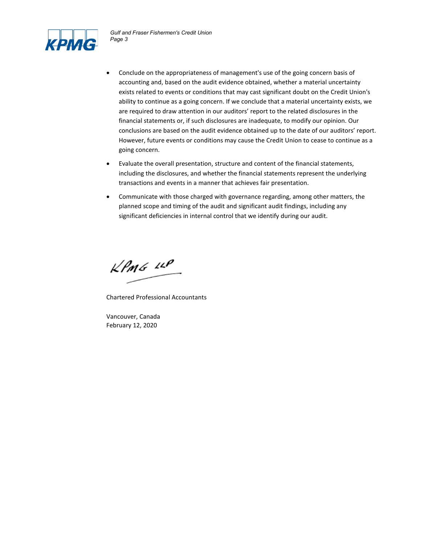

- Conclude on the appropriateness of management's use of the going concern basis of accounting and, based on the audit evidence obtained, whether a material uncertainty exists related to events or conditions that may cast significant doubt on the Credit Union's ability to continue as a going concern. If we conclude that a material uncertainty exists, we are required to draw attention in our auditors' report to the related disclosures in the financial statements or, if such disclosures are inadequate, to modify our opinion. Our conclusions are based on the audit evidence obtained up to the date of our auditors' report. However, future events or conditions may cause the Credit Union to cease to continue as a going concern.
- Evaluate the overall presentation, structure and content of the financial statements, including the disclosures, and whether the financial statements represent the underlying transactions and events in a manner that achieves fair presentation.
- Communicate with those charged with governance regarding, among other matters, the planned scope and timing of the audit and significant audit findings, including any significant deficiencies in internal control that we identify during our audit.

 $k$ *PmG*  $44$ 

Chartered Professional Accountants

Vancouver, Canada February 12, 2020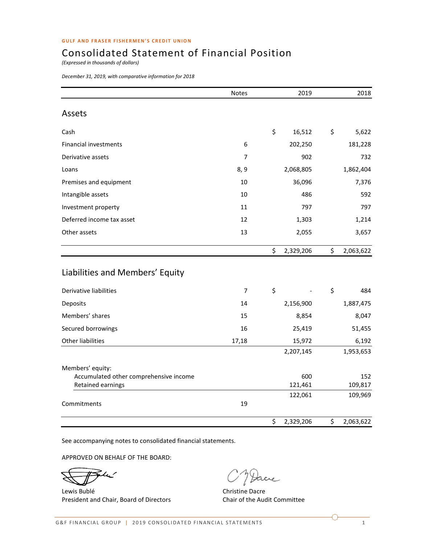# Consolidated Statement of Financial Position

*(Expressed in thousands of dollars)*

*December 31, 2019, with comparative information for 2018*

|                                                                                 | Notes          | 2019            | 2018            |
|---------------------------------------------------------------------------------|----------------|-----------------|-----------------|
| Assets                                                                          |                |                 |                 |
| Cash                                                                            |                | \$<br>16,512    | \$<br>5,622     |
| <b>Financial investments</b>                                                    | 6              | 202,250         | 181,228         |
| Derivative assets                                                               | $\overline{7}$ | 902             | 732             |
| Loans                                                                           | 8,9            | 2,068,805       | 1,862,404       |
| Premises and equipment                                                          | 10             | 36,096          | 7,376           |
| Intangible assets                                                               | 10             | 486             | 592             |
| Investment property                                                             | 11             | 797             | 797             |
| Deferred income tax asset                                                       | 12             | 1,303           | 1,214           |
| Other assets                                                                    | 13             | 2,055           | 3,657           |
|                                                                                 |                | \$<br>2,329,206 | \$<br>2,063,622 |
| Liabilities and Members' Equity                                                 |                |                 |                 |
| Derivative liabilities                                                          | $\overline{7}$ | \$              | \$<br>484       |
| Deposits                                                                        | 14             | 2,156,900       | 1,887,475       |
| Members' shares                                                                 | 15             | 8,854           | 8,047           |
| Secured borrowings                                                              | 16             | 25,419          | 51,455          |
| Other liabilities                                                               | 17,18          | 15,972          | 6,192           |
|                                                                                 |                | 2,207,145       | 1,953,653       |
| Members' equity:<br>Accumulated other comprehensive income<br>Retained earnings |                | 600<br>121,461  | 152<br>109,817  |
| Commitments                                                                     | 19             | 122,061         | 109,969         |
|                                                                                 |                | \$<br>2,329,206 | \$<br>2,063,622 |

See accompanying notes to consolidated financial statements.

APPROVED ON BEHALF OF THE BOARD:

م یا

Lewis Bublé **Christine Dacre** President and Chair, Board of Directors Chair of the Audit Committee

Jacre

∩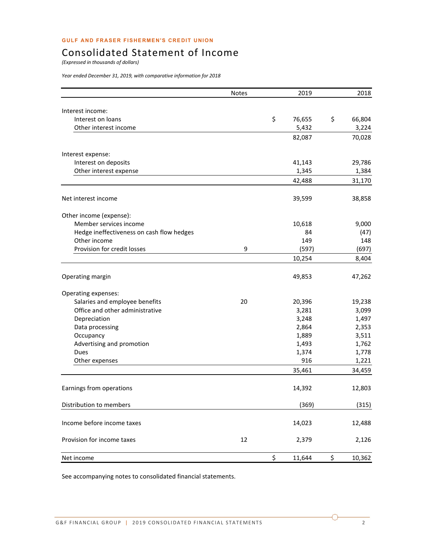## Consolidated Statement of Income

*(Expressed in thousands of dollars)*

*Year ended December 31, 2019, with comparative information for 2018*

|                                           | <b>Notes</b> | 2019         | 2018         |
|-------------------------------------------|--------------|--------------|--------------|
| Interest income:                          |              |              |              |
| Interest on loans                         |              | \$<br>76,655 | \$<br>66,804 |
| Other interest income                     |              | 5,432        | 3,224        |
|                                           |              | 82,087       | 70,028       |
|                                           |              |              |              |
| Interest expense:                         |              |              |              |
| Interest on deposits                      |              | 41,143       | 29,786       |
| Other interest expense                    |              | 1,345        | 1,384        |
|                                           |              | 42,488       | 31,170       |
| Net interest income                       |              | 39,599       | 38,858       |
| Other income (expense):                   |              |              |              |
| Member services income                    |              | 10,618       | 9,000        |
| Hedge ineffectiveness on cash flow hedges |              | 84           | (47)         |
| Other income                              |              | 149          | 148          |
| Provision for credit losses               | 9            | (597)        | (697)        |
|                                           |              | 10,254       | 8,404        |
| Operating margin                          |              | 49,853       | 47,262       |
| Operating expenses:                       |              |              |              |
| Salaries and employee benefits            | 20           | 20,396       | 19,238       |
| Office and other administrative           |              | 3,281        | 3,099        |
| Depreciation                              |              | 3,248        | 1,497        |
| Data processing                           |              | 2,864        | 2,353        |
| Occupancy                                 |              | 1,889        | 3,511        |
| Advertising and promotion                 |              | 1,493        | 1,762        |
| Dues                                      |              | 1,374        | 1,778        |
| Other expenses                            |              | 916          | 1,221        |
|                                           |              | 35,461       | 34,459       |
| Earnings from operations                  |              | 14,392       | 12,803       |
| Distribution to members                   |              | (369)        | (315)        |
| Income before income taxes                |              | 14,023       | 12,488       |
| Provision for income taxes                | 12           | 2,379        | 2,126        |
| Net income                                |              | \$<br>11,644 | \$<br>10,362 |

See accompanying notes to consolidated financial statements.

∩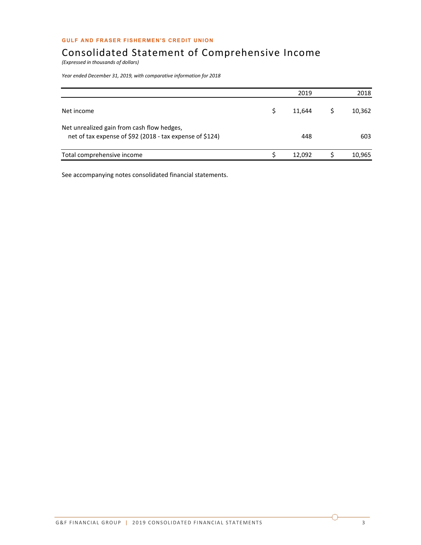# Consolidated Statement of Comprehensive Income

*(Expressed in thousands of dollars)*

*Year ended December 31, 2019, with comparative information for 2018*

|                                                                                                        | 2019   | 2018   |
|--------------------------------------------------------------------------------------------------------|--------|--------|
| Net income                                                                                             | 11.644 | 10,362 |
| Net unrealized gain from cash flow hedges,<br>net of tax expense of \$92 (2018 - tax expense of \$124) | 448    | 603    |
| Total comprehensive income                                                                             | 12.092 | 10,965 |

See accompanying notes consolidated financial statements.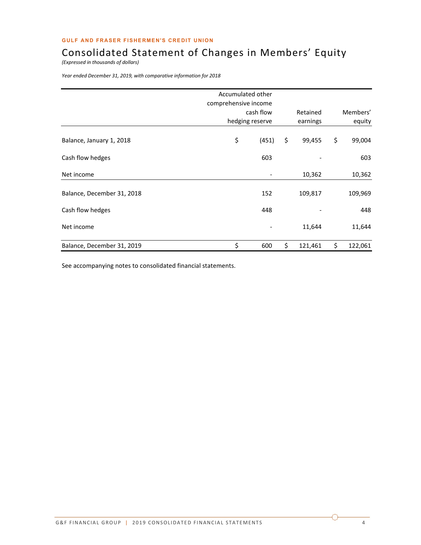# Consolidated Statement of Changes in Members' Equity

*(Expressed in thousands of dollars)*

*Year ended December 31, 2019, with comparative information for 2018*

|                            | Accumulated other                       |           |                      |                    |
|----------------------------|-----------------------------------------|-----------|----------------------|--------------------|
|                            | comprehensive income<br>hedging reserve | cash flow | Retained<br>earnings | Members'<br>equity |
| Balance, January 1, 2018   | \$                                      | (451)     | \$<br>99,455         | \$<br>99,004       |
| Cash flow hedges           |                                         | 603       |                      | 603                |
| Net income                 |                                         |           | 10,362               | 10,362             |
| Balance, December 31, 2018 |                                         | 152       | 109,817              | 109,969            |
| Cash flow hedges           |                                         | 448       |                      | 448                |
| Net income                 |                                         |           | 11,644               | 11,644             |
| Balance, December 31, 2019 | \$                                      | 600       | \$<br>121,461        | \$<br>122,061      |

See accompanying notes to consolidated financial statements.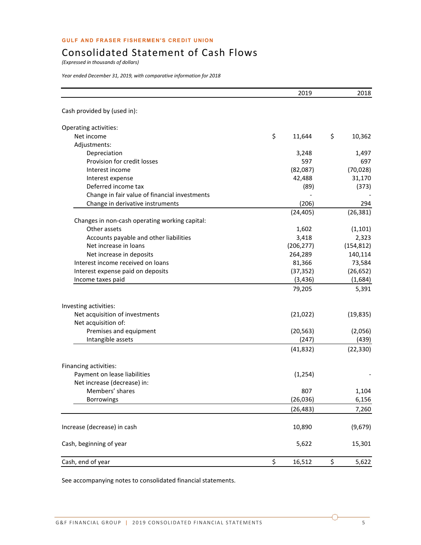# Consolidated Statement of Cash Flows

*(Expressed in thousands of dollars)*

*Year ended December 31, 2019, with comparative information for 2018*

|                                                | 2019         | 2018         |
|------------------------------------------------|--------------|--------------|
| Cash provided by (used in):                    |              |              |
| Operating activities:                          |              |              |
| Net income                                     | \$<br>11,644 | \$<br>10,362 |
| Adjustments:                                   |              |              |
| Depreciation                                   | 3,248        | 1,497        |
| Provision for credit losses                    | 597          | 697          |
| Interest income                                | (82,087)     | (70, 028)    |
| Interest expense                               | 42,488       | 31,170       |
| Deferred income tax                            | (89)         | (373)        |
| Change in fair value of financial investments  |              |              |
| Change in derivative instruments               | (206)        | 294          |
|                                                | (24, 405)    | (26, 381)    |
| Changes in non-cash operating working capital: |              |              |
| Other assets                                   | 1,602        | (1, 101)     |
| Accounts payable and other liabilities         | 3,418        | 2,323        |
| Net increase in loans                          | (206, 277)   | (154, 812)   |
| Net increase in deposits                       | 264,289      | 140,114      |
| Interest income received on loans              | 81,366       | 73,584       |
| Interest expense paid on deposits              | (37, 352)    | (26, 652)    |
| Income taxes paid                              | (3, 436)     | (1,684)      |
|                                                | 79,205       | 5,391        |
| Investing activities:                          |              |              |
| Net acquisition of investments                 | (21, 022)    | (19, 835)    |
| Net acquisition of:                            |              |              |
| Premises and equipment                         | (20, 563)    | (2,056)      |
| Intangible assets                              | (247)        | (439)        |
|                                                | (41, 832)    | (22, 330)    |
| Financing activities:                          |              |              |
| Payment on lease liabilities                   | (1, 254)     |              |
| Net increase (decrease) in:                    |              |              |
| Members' shares                                | 807          | 1,104        |
| Borrowings                                     | (26, 036)    | 6,156        |
|                                                | (26, 483)    | 7,260        |
| Increase (decrease) in cash                    | 10,890       | (9,679)      |
| Cash, beginning of year                        | 5,622        | 15,301       |
| Cash, end of year                              | \$<br>16,512 | \$<br>5,622  |

See accompanying notes to consolidated financial statements.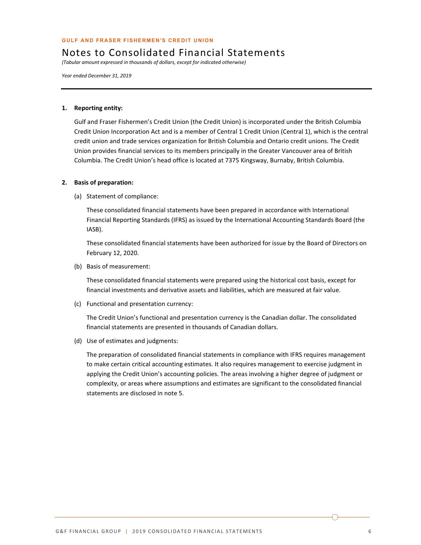*(Tabular amount expressed in thousands of dollars, except for indicated otherwise)*

*Year ended December 31, 2019*

#### **1. Reporting entity:**

Gulf and Fraser Fishermen's Credit Union (the Credit Union) is incorporated under the British Columbia Credit Union Incorporation Act and is a member of Central 1 Credit Union (Central 1), which is the central credit union and trade services organization for British Columbia and Ontario credit unions. The Credit Union provides financial services to its members principally in the Greater Vancouver area of British Columbia. The Credit Union's head office is located at 7375 Kingsway, Burnaby, British Columbia.

### **2. Basis of preparation:**

(a) Statement of compliance:

These consolidated financial statements have been prepared in accordance with International Financial Reporting Standards (IFRS) as issued by the International Accounting Standards Board (the IASB).

These consolidated financial statements have been authorized for issue by the Board of Directors on February 12, 2020.

(b) Basis of measurement:

These consolidated financial statements were prepared using the historical cost basis, except for financial investments and derivative assets and liabilities, which are measured at fair value.

(c) Functional and presentation currency:

The Credit Union's functional and presentation currency is the Canadian dollar. The consolidated financial statements are presented in thousands of Canadian dollars.

(d) Use of estimates and judgments:

The preparation of consolidated financial statements in compliance with IFRS requires management to make certain critical accounting estimates. It also requires management to exercise judgment in applying the Credit Union's accounting policies. The areas involving a higher degree of judgment or complexity, or areas where assumptions and estimates are significant to the consolidated financial statements are disclosed in note 5.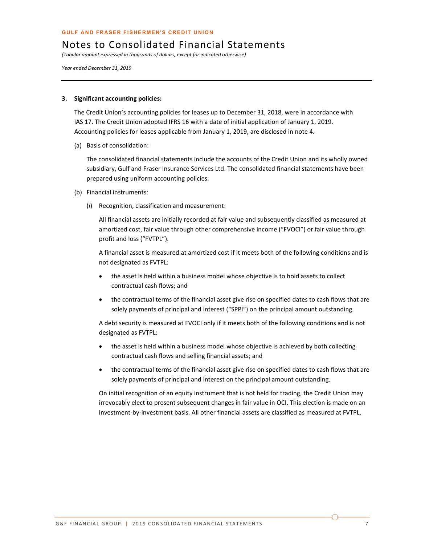*(Tabular amount expressed in thousands of dollars, except for indicated otherwise)*

*Year ended December 31, 2019*

### **3. Significant accounting policies:**

The Credit Union's accounting policies for leases up to December 31, 2018, were in accordance with IAS 17. The Credit Union adopted IFRS 16 with a date of initial application of January 1, 2019. Accounting policies for leases applicable from January 1, 2019, are disclosed in note 4.

(a) Basis of consolidation:

The consolidated financial statements include the accounts of the Credit Union and its wholly owned subsidiary, Gulf and Fraser Insurance Services Ltd. The consolidated financial statements have been prepared using uniform accounting policies.

- (b) Financial instruments:
	- (*i*) Recognition, classification and measurement:

All financial assets are initially recorded at fair value and subsequently classified as measured at amortized cost, fair value through other comprehensive income ("FVOCI") or fair value through profit and loss ("FVTPL").

A financial asset is measured at amortized cost if it meets both of the following conditions and is not designated as FVTPL:

- the asset is held within a business model whose objective is to hold assets to collect contractual cash flows; and
- the contractual terms of the financial asset give rise on specified dates to cash flows that are solely payments of principal and interest ("SPPI") on the principal amount outstanding.

A debt security is measured at FVOCI only if it meets both of the following conditions and is not designated as FVTPL:

- the asset is held within a business model whose objective is achieved by both collecting contractual cash flows and selling financial assets; and
- the contractual terms of the financial asset give rise on specified dates to cash flows that are solely payments of principal and interest on the principal amount outstanding.

On initial recognition of an equity instrument that is not held for trading, the Credit Union may irrevocably elect to present subsequent changes in fair value in OCI. This election is made on an investment-by-investment basis. All other financial assets are classified as measured at FVTPL.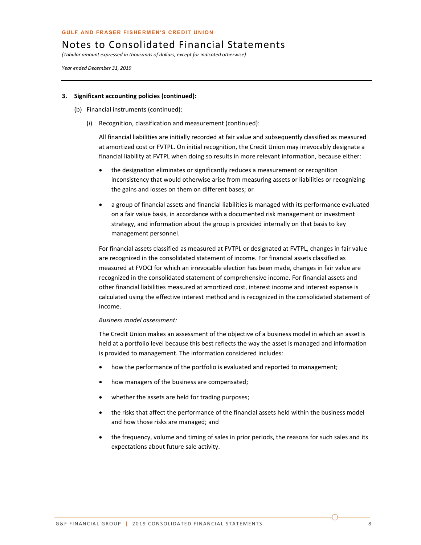*(Tabular amount expressed in thousands of dollars, except for indicated otherwise)*

*Year ended December 31, 2019*

### **3. Significant accounting policies (continued):**

- (b) Financial instruments (continued):
	- (*i*) Recognition, classification and measurement (continued):

All financial liabilities are initially recorded at fair value and subsequently classified as measured at amortized cost or FVTPL. On initial recognition, the Credit Union may irrevocably designate a financial liability at FVTPL when doing so results in more relevant information, because either:

- the designation eliminates or significantly reduces a measurement or recognition inconsistency that would otherwise arise from measuring assets or liabilities or recognizing the gains and losses on them on different bases; or
- a group of financial assets and financial liabilities is managed with its performance evaluated on a fair value basis, in accordance with a documented risk management or investment strategy, and information about the group is provided internally on that basis to key management personnel.

For financial assets classified as measured at FVTPL or designated at FVTPL, changes in fair value are recognized in the consolidated statement of income. For financial assets classified as measured at FVOCI for which an irrevocable election has been made, changes in fair value are recognized in the consolidated statement of comprehensive income. For financial assets and other financial liabilities measured at amortized cost, interest income and interest expense is calculated using the effective interest method and is recognized in the consolidated statement of income.

### *Business model assessment:*

The Credit Union makes an assessment of the objective of a business model in which an asset is held at a portfolio level because this best reflects the way the asset is managed and information is provided to management. The information considered includes:

- how the performance of the portfolio is evaluated and reported to management;
- how managers of the business are compensated;
- whether the assets are held for trading purposes;
- the risks that affect the performance of the financial assets held within the business model and how those risks are managed; and
- the frequency, volume and timing of sales in prior periods, the reasons for such sales and its expectations about future sale activity.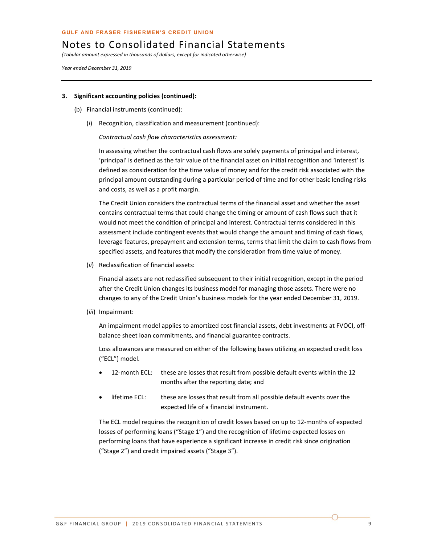*(Tabular amount expressed in thousands of dollars, except for indicated otherwise)*

*Year ended December 31, 2019*

#### **3. Significant accounting policies (continued):**

- (b) Financial instruments (continued):
	- (*i*) Recognition, classification and measurement (continued):

*Contractual cash flow characteristics assessment:*

In assessing whether the contractual cash flows are solely payments of principal and interest, 'principal' is defined as the fair value of the financial asset on initial recognition and 'interest' is defined as consideration for the time value of money and for the credit risk associated with the principal amount outstanding during a particular period of time and for other basic lending risks and costs, as well as a profit margin.

The Credit Union considers the contractual terms of the financial asset and whether the asset contains contractual terms that could change the timing or amount of cash flows such that it would not meet the condition of principal and interest. Contractual terms considered in this assessment include contingent events that would change the amount and timing of cash flows, leverage features, prepayment and extension terms, terms that limit the claim to cash flows from specified assets, and features that modify the consideration from time value of money.

(*ii*) Reclassification of financial assets:

Financial assets are not reclassified subsequent to their initial recognition, except in the period after the Credit Union changes its business model for managing those assets. There were no changes to any of the Credit Union's business models for the year ended December 31, 2019.

(*iii*) Impairment:

An impairment model applies to amortized cost financial assets, debt investments at FVOCI, offbalance sheet loan commitments, and financial guarantee contracts.

Loss allowances are measured on either of the following bases utilizing an expected credit loss ("ECL") model.

- 12-month ECL: these are losses that result from possible default events within the 12 months after the reporting date; and
- lifetime ECL: these are losses that result from all possible default events over the expected life of a financial instrument.

The ECL model requires the recognition of credit losses based on up to 12-months of expected losses of performing loans ("Stage 1") and the recognition of lifetime expected losses on performing loans that have experience a significant increase in credit risk since origination ("Stage 2") and credit impaired assets ("Stage 3").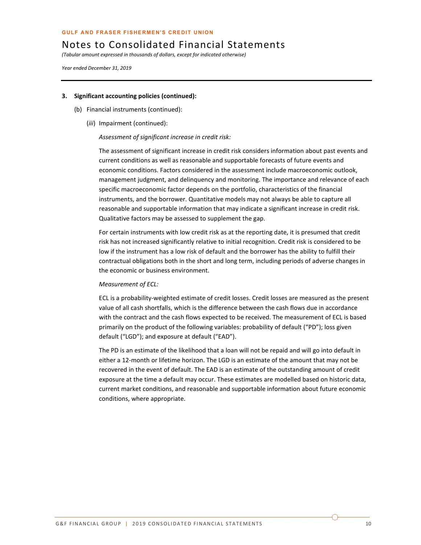### Notes to Consolidated Financial Statements

*(Tabular amount expressed in thousands of dollars, except for indicated otherwise)*

*Year ended December 31, 2019*

#### **3. Significant accounting policies (continued):**

- (b) Financial instruments (continued):
	- (*iii*) Impairment (continued):

### *Assessment of significant increase in credit risk:*

The assessment of significant increase in credit risk considers information about past events and current conditions as well as reasonable and supportable forecasts of future events and economic conditions. Factors considered in the assessment include macroeconomic outlook, management judgment, and delinquency and monitoring. The importance and relevance of each specific macroeconomic factor depends on the portfolio, characteristics of the financial instruments, and the borrower. Quantitative models may not always be able to capture all reasonable and supportable information that may indicate a significant increase in credit risk. Qualitative factors may be assessed to supplement the gap.

For certain instruments with low credit risk as at the reporting date, it is presumed that credit risk has not increased significantly relative to initial recognition. Credit risk is considered to be low if the instrument has a low risk of default and the borrower has the ability to fulfill their contractual obligations both in the short and long term, including periods of adverse changes in the economic or business environment.

### *Measurement of ECL:*

ECL is a probability-weighted estimate of credit losses. Credit losses are measured as the present value of all cash shortfalls, which is the difference between the cash flows due in accordance with the contract and the cash flows expected to be received. The measurement of ECL is based primarily on the product of the following variables: probability of default ("PD"); loss given default ("LGD"); and exposure at default ("EAD").

The PD is an estimate of the likelihood that a loan will not be repaid and will go into default in either a 12-month or lifetime horizon. The LGD is an estimate of the amount that may not be recovered in the event of default. The EAD is an estimate of the outstanding amount of credit exposure at the time a default may occur. These estimates are modelled based on historic data, current market conditions, and reasonable and supportable information about future economic conditions, where appropriate.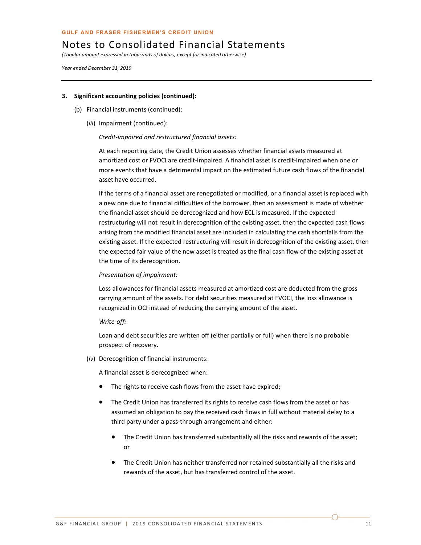### Notes to Consolidated Financial Statements

*(Tabular amount expressed in thousands of dollars, except for indicated otherwise)*

*Year ended December 31, 2019*

### **3. Significant accounting policies (continued):**

- (b) Financial instruments (continued):
	- (*iii*) Impairment (continued):

### *Credit-impaired and restructured financial assets:*

At each reporting date, the Credit Union assesses whether financial assets measured at amortized cost or FVOCI are credit-impaired. A financial asset is credit-impaired when one or more events that have a detrimental impact on the estimated future cash flows of the financial asset have occurred.

If the terms of a financial asset are renegotiated or modified, or a financial asset is replaced with a new one due to financial difficulties of the borrower, then an assessment is made of whether the financial asset should be derecognized and how ECL is measured. If the expected restructuring will not result in derecognition of the existing asset, then the expected cash flows arising from the modified financial asset are included in calculating the cash shortfalls from the existing asset. If the expected restructuring will result in derecognition of the existing asset, then the expected fair value of the new asset is treated as the final cash flow of the existing asset at the time of its derecognition.

### *Presentation of impairment:*

Loss allowances for financial assets measured at amortized cost are deducted from the gross carrying amount of the assets. For debt securities measured at FVOCI, the loss allowance is recognized in OCI instead of reducing the carrying amount of the asset.

### *Write-off:*

Loan and debt securities are written off (either partially or full) when there is no probable prospect of recovery.

(*iv*) Derecognition of financial instruments:

A financial asset is derecognized when:

- The rights to receive cash flows from the asset have expired;
- The Credit Union has transferred its rights to receive cash flows from the asset or has assumed an obligation to pay the received cash flows in full without material delay to a third party under a pass-through arrangement and either:
	- The Credit Union has transferred substantially all the risks and rewards of the asset; or
	- The Credit Union has neither transferred nor retained substantially all the risks and rewards of the asset, but has transferred control of the asset.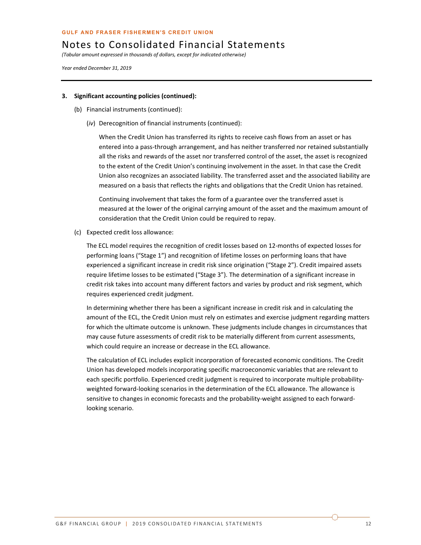### Notes to Consolidated Financial Statements

*(Tabular amount expressed in thousands of dollars, except for indicated otherwise)*

*Year ended December 31, 2019*

#### **3. Significant accounting policies (continued):**

- (b) Financial instruments (continued):
	- (*iv*) Derecognition of financial instruments (continued):

When the Credit Union has transferred its rights to receive cash flows from an asset or has entered into a pass-through arrangement, and has neither transferred nor retained substantially all the risks and rewards of the asset nor transferred control of the asset, the asset is recognized to the extent of the Credit Union's continuing involvement in the asset. In that case the Credit Union also recognizes an associated liability. The transferred asset and the associated liability are measured on a basis that reflects the rights and obligations that the Credit Union has retained.

Continuing involvement that takes the form of a guarantee over the transferred asset is measured at the lower of the original carrying amount of the asset and the maximum amount of consideration that the Credit Union could be required to repay.

(c) Expected credit loss allowance:

The ECL model requires the recognition of credit losses based on 12-months of expected losses for performing loans ("Stage 1") and recognition of lifetime losses on performing loans that have experienced a significant increase in credit risk since origination ("Stage 2"). Credit impaired assets require lifetime losses to be estimated ("Stage 3"). The determination of a significant increase in credit risk takes into account many different factors and varies by product and risk segment, which requires experienced credit judgment.

In determining whether there has been a significant increase in credit risk and in calculating the amount of the ECL, the Credit Union must rely on estimates and exercise judgment regarding matters for which the ultimate outcome is unknown. These judgments include changes in circumstances that may cause future assessments of credit risk to be materially different from current assessments, which could require an increase or decrease in the ECL allowance.

The calculation of ECL includes explicit incorporation of forecasted economic conditions. The Credit Union has developed models incorporating specific macroeconomic variables that are relevant to each specific portfolio. Experienced credit judgment is required to incorporate multiple probabilityweighted forward-looking scenarios in the determination of the ECL allowance. The allowance is sensitive to changes in economic forecasts and the probability-weight assigned to each forwardlooking scenario.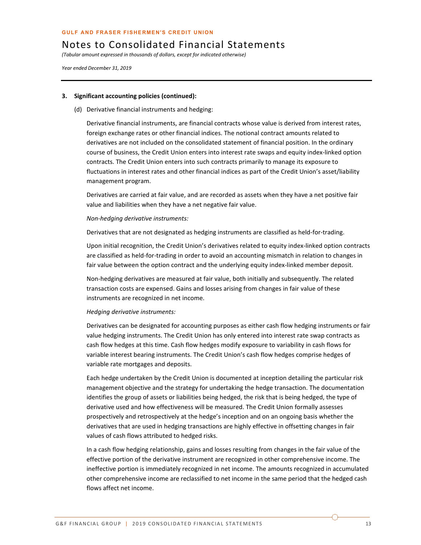### Notes to Consolidated Financial Statements

*(Tabular amount expressed in thousands of dollars, except for indicated otherwise)*

*Year ended December 31, 2019*

#### **3. Significant accounting policies (continued):**

(d) Derivative financial instruments and hedging:

Derivative financial instruments, are financial contracts whose value is derived from interest rates, foreign exchange rates or other financial indices. The notional contract amounts related to derivatives are not included on the consolidated statement of financial position. In the ordinary course of business, the Credit Union enters into interest rate swaps and equity index-linked option contracts. The Credit Union enters into such contracts primarily to manage its exposure to fluctuations in interest rates and other financial indices as part of the Credit Union's asset/liability management program.

Derivatives are carried at fair value, and are recorded as assets when they have a net positive fair value and liabilities when they have a net negative fair value.

### *Non-hedging derivative instruments:*

Derivatives that are not designated as hedging instruments are classified as held-for-trading.

Upon initial recognition, the Credit Union's derivatives related to equity index-linked option contracts are classified as held-for-trading in order to avoid an accounting mismatch in relation to changes in fair value between the option contract and the underlying equity index-linked member deposit.

Non-hedging derivatives are measured at fair value, both initially and subsequently. The related transaction costs are expensed. Gains and losses arising from changes in fair value of these instruments are recognized in net income.

### *Hedging derivative instruments:*

Derivatives can be designated for accounting purposes as either cash flow hedging instruments or fair value hedging instruments. The Credit Union has only entered into interest rate swap contracts as cash flow hedges at this time. Cash flow hedges modify exposure to variability in cash flows for variable interest bearing instruments. The Credit Union's cash flow hedges comprise hedges of variable rate mortgages and deposits.

Each hedge undertaken by the Credit Union is documented at inception detailing the particular risk management objective and the strategy for undertaking the hedge transaction. The documentation identifies the group of assets or liabilities being hedged, the risk that is being hedged, the type of derivative used and how effectiveness will be measured. The Credit Union formally assesses prospectively and retrospectively at the hedge's inception and on an ongoing basis whether the derivatives that are used in hedging transactions are highly effective in offsetting changes in fair values of cash flows attributed to hedged risks.

In a cash flow hedging relationship, gains and losses resulting from changes in the fair value of the effective portion of the derivative instrument are recognized in other comprehensive income. The ineffective portion is immediately recognized in net income. The amounts recognized in accumulated other comprehensive income are reclassified to net income in the same period that the hedged cash flows affect net income.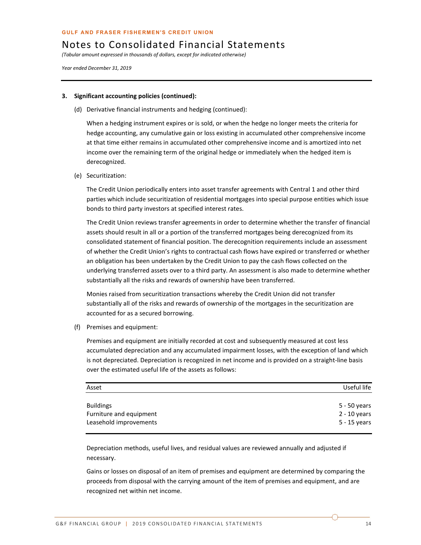*(Tabular amount expressed in thousands of dollars, except for indicated otherwise)*

*Year ended December 31, 2019*

### **3. Significant accounting policies (continued):**

(d) Derivative financial instruments and hedging (continued):

When a hedging instrument expires or is sold, or when the hedge no longer meets the criteria for hedge accounting, any cumulative gain or loss existing in accumulated other comprehensive income at that time either remains in accumulated other comprehensive income and is amortized into net income over the remaining term of the original hedge or immediately when the hedged item is derecognized.

(e) Securitization:

The Credit Union periodically enters into asset transfer agreements with Central 1 and other third parties which include securitization of residential mortgages into special purpose entities which issue bonds to third party investors at specified interest rates.

The Credit Union reviews transfer agreements in order to determine whether the transfer of financial assets should result in all or a portion of the transferred mortgages being derecognized from its consolidated statement of financial position. The derecognition requirements include an assessment of whether the Credit Union's rights to contractual cash flows have expired or transferred or whether an obligation has been undertaken by the Credit Union to pay the cash flows collected on the underlying transferred assets over to a third party. An assessment is also made to determine whether substantially all the risks and rewards of ownership have been transferred.

Monies raised from securitization transactions whereby the Credit Union did not transfer substantially all of the risks and rewards of ownership of the mortgages in the securitization are accounted for as a secured borrowing.

(f) Premises and equipment:

Premises and equipment are initially recorded at cost and subsequently measured at cost less accumulated depreciation and any accumulated impairment losses, with the exception of land which is not depreciated. Depreciation is recognized in net income and is provided on a straight-line basis over the estimated useful life of the assets as follows:

| 5 - 50 years<br>$2 - 10$ years<br>5 - 15 years |
|------------------------------------------------|
|                                                |

Depreciation methods, useful lives, and residual values are reviewed annually and adjusted if necessary.

Gains or losses on disposal of an item of premises and equipment are determined by comparing the proceeds from disposal with the carrying amount of the item of premises and equipment, and are recognized net within net income.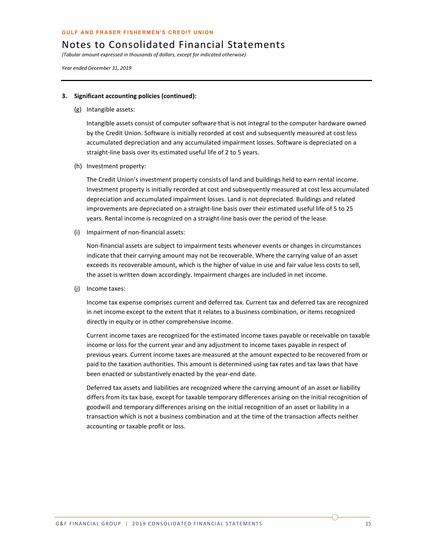### Notes to Consolidated Financial Statements

*(Tabular amount expressed in thousands of dollars, except for indicated otherwise)*

*Year ended December 31, 2019*

#### **3. Significant accounting policies (continued):**

(g) Intangible assets:

Intangible assets consist of computer software that is not integral to the computer hardware owned by the Credit Union. Software is initially recorded at cost and subsequently measured at cost less accumulated depreciation and any accumulated impairment losses. Software is depreciated on a straight-line basis over its estimated useful life of 2 to 5 years.

(h) Investment property:

The Credit Union's investment property consists of land and buildings held to earn rental income. Investment property is initially recorded at cost and subsequently measured at cost less accumulated depreciation and accumulated impairment losses. Land is not depreciated. Buildings and related improvements are depreciated on a straight-line basis over their estimated useful life of 5 to 25 years. Rental income is recognized on a straight-line basis over the period of the lease.

(i) Impairment of non-financial assets:

Non-financial assets are subject to impairment tests whenever events or changes in circumstances indicate that their carrying amount may not be recoverable. Where the carrying value of an asset exceeds its recoverable amount, which is the higher of value in use and fair value less costs to sell, the asset is written down accordingly. Impairment charges are included in net income.

(j) Income taxes:

Income tax expense comprises current and deferred tax. Current tax and deferred tax are recognized in net income except to the extent that it relates to a business combination, or items recognized directly in equity or in other comprehensive income.

Current income taxes are recognized for the estimated income taxes payable or receivable on taxable income or loss for the current year and any adjustment to income taxes payable in respect of previous years. Current income taxes are measured at the amount expected to be recovered from or paid to the taxation authorities. This amount is determined using tax rates and tax laws that have been enacted or substantively enacted by the year-end date.

Deferred tax assets and liabilities are recognized where the carrying amount of an asset or liability differs from its tax base, except for taxable temporary differences arising on the initial recognition of goodwill and temporary differences arising on the initial recognition of an asset or liability in a transaction which is not a business combination and at the time of the transaction affects neither accounting or taxable profit or loss.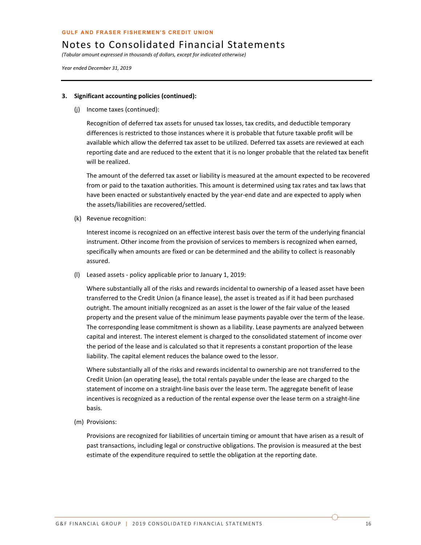### Notes to Consolidated Financial Statements

*(Tabular amount expressed in thousands of dollars, except for indicated otherwise)*

*Year ended December 31, 2019*

### **3. Significant accounting policies (continued):**

(j) Income taxes (continued):

Recognition of deferred tax assets for unused tax losses, tax credits, and deductible temporary differences is restricted to those instances where it is probable that future taxable profit will be available which allow the deferred tax asset to be utilized. Deferred tax assets are reviewed at each reporting date and are reduced to the extent that it is no longer probable that the related tax benefit will be realized.

The amount of the deferred tax asset or liability is measured at the amount expected to be recovered from or paid to the taxation authorities. This amount is determined using tax rates and tax laws that have been enacted or substantively enacted by the year-end date and are expected to apply when the assets/liabilities are recovered/settled.

(k) Revenue recognition:

Interest income is recognized on an effective interest basis over the term of the underlying financial instrument. Other income from the provision of services to members is recognized when earned, specifically when amounts are fixed or can be determined and the ability to collect is reasonably assured.

(l) Leased assets - policy applicable prior to January 1, 2019:

Where substantially all of the risks and rewards incidental to ownership of a leased asset have been transferred to the Credit Union (a finance lease), the asset is treated as if it had been purchased outright. The amount initially recognized as an asset is the lower of the fair value of the leased property and the present value of the minimum lease payments payable over the term of the lease. The corresponding lease commitment is shown as a liability. Lease payments are analyzed between capital and interest. The interest element is charged to the consolidated statement of income over the period of the lease and is calculated so that it represents a constant proportion of the lease liability. The capital element reduces the balance owed to the lessor.

Where substantially all of the risks and rewards incidental to ownership are not transferred to the Credit Union (an operating lease), the total rentals payable under the lease are charged to the statement of income on a straight-line basis over the lease term. The aggregate benefit of lease incentives is recognized as a reduction of the rental expense over the lease term on a straight-line basis.

(m) Provisions:

Provisions are recognized for liabilities of uncertain timing or amount that have arisen as a result of past transactions, including legal or constructive obligations. The provision is measured at the best estimate of the expenditure required to settle the obligation at the reporting date.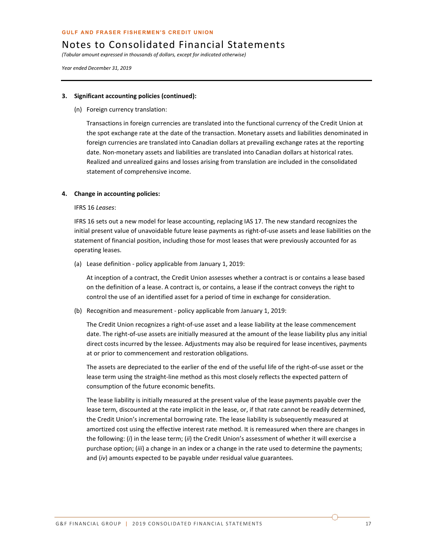### Notes to Consolidated Financial Statements

*(Tabular amount expressed in thousands of dollars, except for indicated otherwise)*

*Year ended December 31, 2019*

#### **3. Significant accounting policies (continued):**

(n) Foreign currency translation:

Transactions in foreign currencies are translated into the functional currency of the Credit Union at the spot exchange rate at the date of the transaction. Monetary assets and liabilities denominated in foreign currencies are translated into Canadian dollars at prevailing exchange rates at the reporting date. Non-monetary assets and liabilities are translated into Canadian dollars at historical rates. Realized and unrealized gains and losses arising from translation are included in the consolidated statement of comprehensive income.

### **4. Change in accounting policies:**

IFRS 16 *Leases*:

IFRS 16 sets out a new model for lease accounting, replacing IAS 17. The new standard recognizes the initial present value of unavoidable future lease payments as right-of-use assets and lease liabilities on the statement of financial position, including those for most leases that were previously accounted for as operating leases.

(a) Lease definition - policy applicable from January 1, 2019:

At inception of a contract, the Credit Union assesses whether a contract is or contains a lease based on the definition of a lease. A contract is, or contains, a lease if the contract conveys the right to control the use of an identified asset for a period of time in exchange for consideration.

(b) Recognition and measurement - policy applicable from January 1, 2019:

The Credit Union recognizes a right-of-use asset and a lease liability at the lease commencement date. The right-of-use assets are initially measured at the amount of the lease liability plus any initial direct costs incurred by the lessee. Adjustments may also be required for lease incentives, payments at or prior to commencement and restoration obligations.

The assets are depreciated to the earlier of the end of the useful life of the right-of-use asset or the lease term using the straight-line method as this most closely reflects the expected pattern of consumption of the future economic benefits.

The lease liability is initially measured at the present value of the lease payments payable over the lease term, discounted at the rate implicit in the lease, or, if that rate cannot be readily determined, the Credit Union's incremental borrowing rate. The lease liability is subsequently measured at amortized cost using the effective interest rate method. It is remeasured when there are changes in the following: (*i*) in the lease term; (*ii*) the Credit Union's assessment of whether it will exercise a purchase option; (*iii*) a change in an index or a change in the rate used to determine the payments; and (*iv*) amounts expected to be payable under residual value guarantees.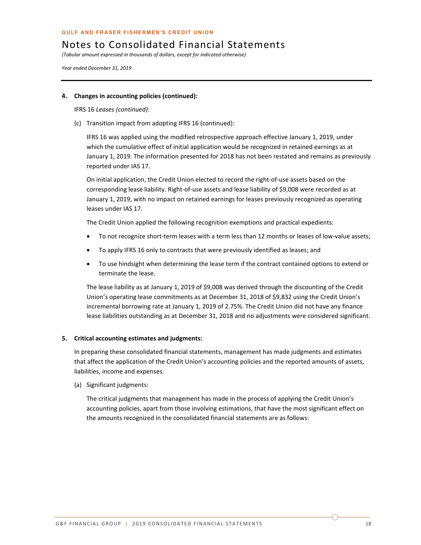### Notes to Consolidated Financial Statements

*(Tabular amount expressed in thousands of dollars, except for indicated otherwise)*

*Year ended December 31, 2019*

### **4. Changes in accounting policies (continued):**

IFRS 16 *Leases (continued)*:

(c) Transition impact from adopting IFRS 16 (continued):

IFRS 16 was applied using the modified retrospective approach effective January 1, 2019, under which the cumulative effect of initial application would be recognized in retained earnings as at January 1, 2019. The information presented for 2018 has not been restated and remains as previously reported under IAS 17.

On initial application, the Credit Union elected to record the right-of-use assets based on the corresponding lease liability. Right-of-use assets and lease liability of \$9,008 were recorded as at January 1, 2019, with no impact on retained earnings for leases previously recognized as operating leases under IAS 17.

The Credit Union applied the following recognition exemptions and practical expedients:

- To not recognize short-term leases with a term less than 12 months or leases of low-value assets;
- To apply IFRS 16 only to contracts that were previously identified as leases; and
- To use hindsight when determining the lease term if the contract contained options to extend or terminate the lease.

The lease liability as at January 1, 2019 of \$9,008 was derived through the discounting of the Credit Union's operating lease commitments as at December 31, 2018 of \$9,832 using the Credit Union's incremental borrowing rate at January 1, 2019 of 2.75%. The Credit Union did not have any finance lease liabilities outstanding as at December 31, 2018 and no adjustments were considered significant.

### **5. Critical accounting estimates and judgments:**

In preparing these consolidated financial statements, management has made judgments and estimates that affect the application of the Credit Union's accounting policies and the reported amounts of assets, liabilities, income and expenses.

(a) Significant judgments:

The critical judgments that management has made in the process of applying the Credit Union's accounting policies, apart from those involving estimations, that have the most significant effect on the amounts recognized in the consolidated financial statements are as follows: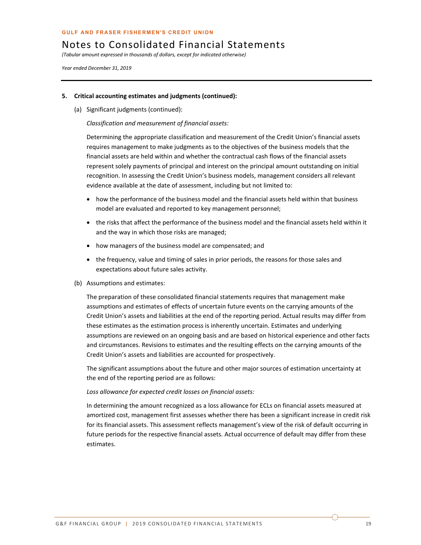### Notes to Consolidated Financial Statements

*(Tabular amount expressed in thousands of dollars, except for indicated otherwise)*

*Year ended December 31, 2019*

### **5. Critical accounting estimates and judgments (continued):**

(a) Significant judgments (continued):

*Classification and measurement of financial assets:*

Determining the appropriate classification and measurement of the Credit Union's financial assets requires management to make judgments as to the objectives of the business models that the financial assets are held within and whether the contractual cash flows of the financial assets represent solely payments of principal and interest on the principal amount outstanding on initial recognition. In assessing the Credit Union's business models, management considers all relevant evidence available at the date of assessment, including but not limited to:

- how the performance of the business model and the financial assets held within that business model are evaluated and reported to key management personnel;
- the risks that affect the performance of the business model and the financial assets held within it and the way in which those risks are managed;
- how managers of the business model are compensated; and
- the frequency, value and timing of sales in prior periods, the reasons for those sales and expectations about future sales activity.
- (b) Assumptions and estimates:

The preparation of these consolidated financial statements requires that management make assumptions and estimates of effects of uncertain future events on the carrying amounts of the Credit Union's assets and liabilities at the end of the reporting period. Actual results may differ from these estimates as the estimation process is inherently uncertain. Estimates and underlying assumptions are reviewed on an ongoing basis and are based on historical experience and other facts and circumstances. Revisions to estimates and the resulting effects on the carrying amounts of the Credit Union's assets and liabilities are accounted for prospectively.

The significant assumptions about the future and other major sources of estimation uncertainty at the end of the reporting period are as follows:

### *Loss allowance for expected credit losses on financial assets:*

In determining the amount recognized as a loss allowance for ECLs on financial assets measured at amortized cost, management first assesses whether there has been a significant increase in credit risk for its financial assets. This assessment reflects management's view of the risk of default occurring in future periods for the respective financial assets. Actual occurrence of default may differ from these estimates.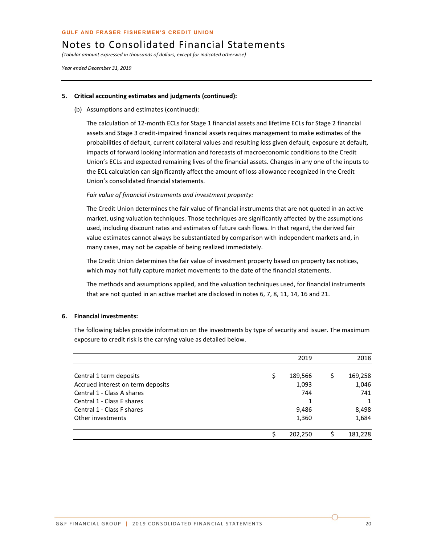### Notes to Consolidated Financial Statements

*(Tabular amount expressed in thousands of dollars, except for indicated otherwise)*

*Year ended December 31, 2019*

### **5. Critical accounting estimates and judgments (continued):**

(b) Assumptions and estimates (continued):

The calculation of 12-month ECLs for Stage 1 financial assets and lifetime ECLs for Stage 2 financial assets and Stage 3 credit-impaired financial assets requires management to make estimates of the probabilities of default, current collateral values and resulting loss given default, exposure at default, impacts of forward looking information and forecasts of macroeconomic conditions to the Credit Union's ECLs and expected remaining lives of the financial assets. Changes in any one of the inputs to the ECL calculation can significantly affect the amount of loss allowance recognized in the Credit Union's consolidated financial statements.

### *Fair value of financial instruments and investment property:*

The Credit Union determines the fair value of financial instruments that are not quoted in an active market, using valuation techniques. Those techniques are significantly affected by the assumptions used, including discount rates and estimates of future cash flows. In that regard, the derived fair value estimates cannot always be substantiated by comparison with independent markets and, in many cases, may not be capable of being realized immediately.

The Credit Union determines the fair value of investment property based on property tax notices, which may not fully capture market movements to the date of the financial statements.

The methods and assumptions applied, and the valuation techniques used, for financial instruments that are not quoted in an active market are disclosed in notes 6, 7, 8, 11, 14, 16 and 21.

### **6. Financial investments:**

The following tables provide information on the investments by type of security and issuer. The maximum exposure to credit risk is the carrying value as detailed below.

|                                   | 2019          | 2018    |
|-----------------------------------|---------------|---------|
|                                   |               |         |
| Central 1 term deposits           | \$<br>189,566 | 169,258 |
| Accrued interest on term deposits | 1,093         | 1,046   |
| Central 1 - Class A shares        | 744           | 741     |
| Central 1 - Class E shares        |               | 1       |
| Central 1 - Class F shares        | 9,486         | 8,498   |
| Other investments                 | 1,360         | 1,684   |
|                                   |               |         |
|                                   | 202.250       | 181,228 |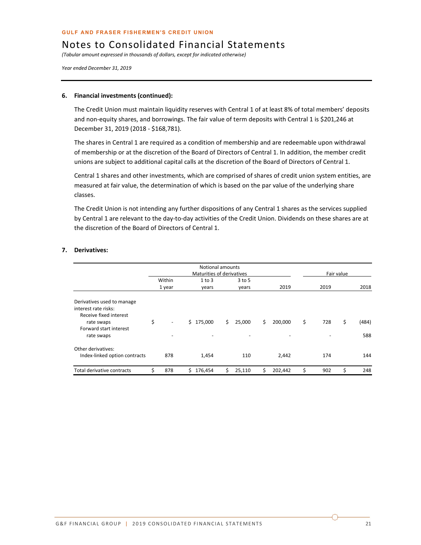### Notes to Consolidated Financial Statements

*(Tabular amount expressed in thousands of dollars, except for indicated otherwise)*

*Year ended December 31, 2019*

### **6. Financial investments (continued):**

The Credit Union must maintain liquidity reserves with Central 1 of at least 8% of total members' deposits and non-equity shares, and borrowings. The fair value of term deposits with Central 1 is \$201,246 at December 31, 2019 (2018 - \$168,781).

The shares in Central 1 are required as a condition of membership and are redeemable upon withdrawal of membership or at the discretion of the Board of Directors of Central 1. In addition, the member credit unions are subject to additional capital calls at the discretion of the Board of Directors of Central 1.

Central 1 shares and other investments, which are comprised of shares of credit union system entities, are measured at fair value, the determination of which is based on the par value of the underlying share classes.

The Credit Union is not intending any further dispositions of any Central 1 shares as the services supplied by Central 1 are relevant to the day-to-day activities of the Credit Union. Dividends on these shares are at the discretion of the Board of Directors of Central 1.

### **7. Derivatives:**

|                                                                                                                                    |    | Notional amounts<br>Maturities of derivatives |    |                 |    |                   |               | Fair value |    |              |
|------------------------------------------------------------------------------------------------------------------------------------|----|-----------------------------------------------|----|-----------------|----|-------------------|---------------|------------|----|--------------|
|                                                                                                                                    |    | Within<br>1 year                              |    | 1 to 3<br>years |    | $3$ to 5<br>years | 2019          | 2019       |    | 2018         |
| Derivatives used to manage<br>interest rate risks:<br>Receive fixed interest<br>rate swaps<br>Forward start interest<br>rate swaps | \$ | $\blacksquare$                                |    | \$175,000       | \$ | 25,000            | \$<br>200,000 | \$<br>728  | \$ | (484)<br>588 |
| Other derivatives:<br>Index-linked option contracts                                                                                |    | 878                                           |    | 1,454           |    | 110               | 2,442         | 174        |    | 144          |
| Total derivative contracts                                                                                                         | Ś  | 878                                           | Ś. | 176,454         | Ś. | 25,110            | \$<br>202,442 | \$<br>902  | \$ | 248          |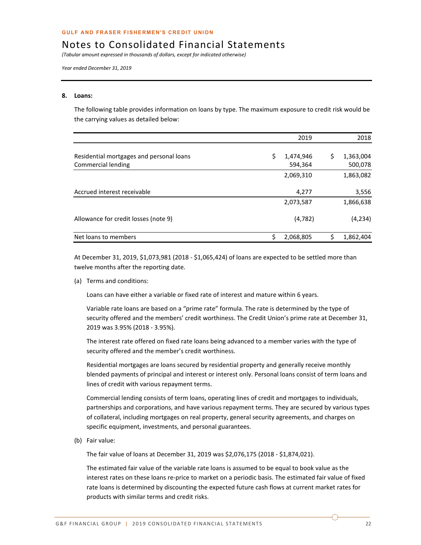*(Tabular amount expressed in thousands of dollars, except for indicated otherwise)*

*Year ended December 31, 2019*

### **8. Loans:**

The following table provides information on loans by type. The maximum exposure to credit risk would be the carrying values as detailed below:

|                                                                |    | 2019                 |    | 2018                 |
|----------------------------------------------------------------|----|----------------------|----|----------------------|
|                                                                | \$ |                      |    |                      |
| Residential mortgages and personal loans<br>Commercial lending |    | 1,474,946<br>594,364 | \$ | 1,363,004<br>500,078 |
|                                                                |    | 2,069,310            |    | 1,863,082            |
| Accrued interest receivable                                    |    | 4,277                |    | 3,556                |
|                                                                |    | 2,073,587            |    | 1,866,638            |
| Allowance for credit losses (note 9)                           |    | (4, 782)             |    | (4,234)              |
| Net loans to members                                           | Ś  | 2,068,805            | Ś  | 1,862,404            |

At December 31, 2019, \$1,073,981 (2018 - \$1,065,424) of loans are expected to be settled more than twelve months after the reporting date.

(a) Terms and conditions:

Loans can have either a variable or fixed rate of interest and mature within 6 years.

Variable rate loans are based on a "prime rate" formula. The rate is determined by the type of security offered and the members' credit worthiness. The Credit Union's prime rate at December 31, 2019 was 3.95% (2018 - 3.95%).

The interest rate offered on fixed rate loans being advanced to a member varies with the type of security offered and the member's credit worthiness.

Residential mortgages are loans secured by residential property and generally receive monthly blended payments of principal and interest or interest only. Personal loans consist of term loans and lines of credit with various repayment terms.

Commercial lending consists of term loans, operating lines of credit and mortgages to individuals, partnerships and corporations, and have various repayment terms. They are secured by various types of collateral, including mortgages on real property, general security agreements, and charges on specific equipment, investments, and personal guarantees.

(b) Fair value:

The fair value of loans at December 31, 2019 was \$2,076,175 (2018 - \$1,874,021).

The estimated fair value of the variable rate loans is assumed to be equal to book value as the interest rates on these loans re-price to market on a periodic basis. The estimated fair value of fixed rate loans is determined by discounting the expected future cash flows at current market rates for products with similar terms and credit risks.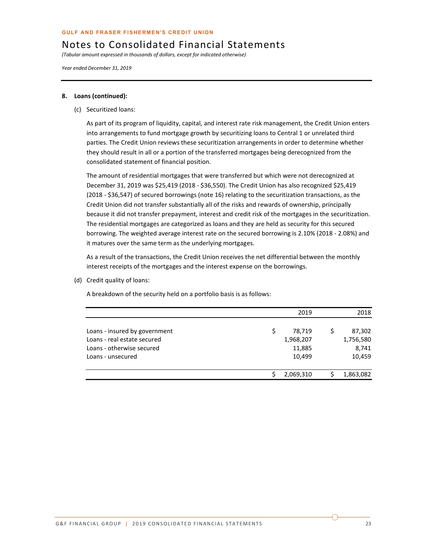### Notes to Consolidated Financial Statements

*(Tabular amount expressed in thousands of dollars, except for indicated otherwise)*

*Year ended December 31, 2019*

### **8. Loans (continued):**

(c) Securitized loans:

As part of its program of liquidity, capital, and interest rate risk management, the Credit Union enters into arrangements to fund mortgage growth by securitizing loans to Central 1 or unrelated third parties. The Credit Union reviews these securitization arrangements in order to determine whether they should result in all or a portion of the transferred mortgages being derecognized from the consolidated statement of financial position.

The amount of residential mortgages that were transferred but which were not derecognized at December 31, 2019 was \$25,419 (2018 - \$36,550). The Credit Union has also recognized \$25,419 (2018 - \$36,547) of secured borrowings (note 16) relating to the securitization transactions, as the Credit Union did not transfer substantially all of the risks and rewards of ownership, principally because it did not transfer prepayment, interest and credit risk of the mortgages in the securitization. The residential mortgages are categorized as loans and they are held as security for this secured borrowing. The weighted average interest rate on the secured borrowing is 2.10% (2018 - 2.08%) and it matures over the same term as the underlying mortgages.

As a result of the transactions, the Credit Union receives the net differential between the monthly interest receipts of the mortgages and the interest expense on the borrowings.

(d) Credit quality of loans:

A breakdown of the security held on a portfolio basis is as follows:

|                               | 2019      | 2018      |
|-------------------------------|-----------|-----------|
|                               |           |           |
| Loans - insured by government | 78,719    | 87,302    |
| Loans - real estate secured   | 1,968,207 | 1,756,580 |
| Loans - otherwise secured     | 11,885    | 8,741     |
| Loans - unsecured             | 10,499    | 10,459    |
|                               |           |           |
|                               | 2,069,310 | 1,863,082 |
|                               |           |           |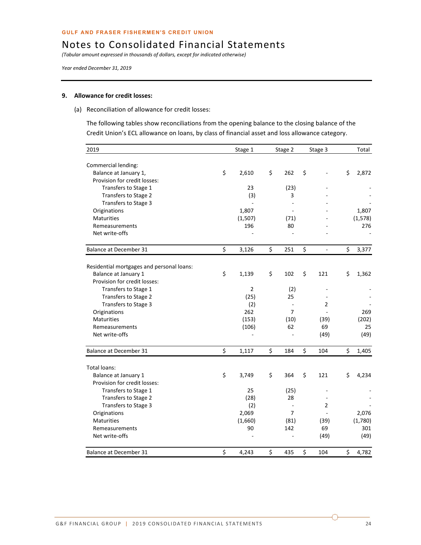*(Tabular amount expressed in thousands of dollars, except for indicated otherwise)*

*Year ended December 31, 2019*

### **9. Allowance for credit losses:**

(a) Reconciliation of allowance for credit losses:

The following tables show reconciliations from the opening balance to the closing balance of the Credit Union's ECL allowance on loans, by class of financial asset and loss allowance category.

| 2019                                                  | Stage 1        | Stage 2        | Stage 3                        | Total       |
|-------------------------------------------------------|----------------|----------------|--------------------------------|-------------|
|                                                       |                |                |                                |             |
| Commercial lending:                                   | \$             | 262            |                                | \$          |
| Balance at January 1,<br>Provision for credit losses: | 2,610          | \$             | \$                             | 2,872       |
|                                                       |                |                |                                |             |
| Transfers to Stage 1                                  | 23             | (23)           |                                |             |
| Transfers to Stage 2                                  | (3)            | 3              |                                |             |
| Transfers to Stage 3                                  |                |                |                                |             |
| Originations                                          | 1,807          |                |                                | 1,807       |
| <b>Maturities</b>                                     | (1,507)        | (71)           |                                | (1, 578)    |
| Remeasurements                                        | 196            | 80             |                                | 276         |
| Net write-offs                                        |                |                |                                |             |
| Balance at December 31                                | \$<br>3,126    | \$<br>251      | \$<br>$\overline{\phantom{a}}$ | \$<br>3,377 |
| Residential mortgages and personal loans:             |                |                |                                |             |
| Balance at January 1                                  | \$<br>1,139    | \$<br>102      | \$<br>121                      | \$<br>1,362 |
| Provision for credit losses:                          |                |                |                                |             |
| Transfers to Stage 1                                  | $\overline{2}$ | (2)            |                                |             |
| Transfers to Stage 2                                  | (25)           | 25             |                                |             |
| Transfers to Stage 3                                  | (2)            |                | $\overline{2}$                 |             |
| Originations                                          | 262            | $\overline{7}$ |                                | 269         |
| <b>Maturities</b>                                     | (153)          | (10)           | (39)                           | (202)       |
| Remeasurements                                        | (106)          | 62             | 69                             | 25          |
| Net write-offs                                        |                |                | (49)                           | (49)        |
|                                                       |                |                |                                |             |
| Balance at December 31                                | \$<br>1,117    | \$<br>184      | \$<br>104                      | \$<br>1,405 |
| Total loans:                                          |                |                |                                |             |
| Balance at January 1                                  | \$<br>3,749    | \$<br>364      | \$<br>121                      | \$<br>4,234 |
| Provision for credit losses:                          |                |                |                                |             |
| Transfers to Stage 1                                  | 25             | (25)           |                                |             |
| Transfers to Stage 2                                  | (28)           | 28             |                                |             |
| Transfers to Stage 3                                  | (2)            |                | 2                              |             |
| Originations                                          | 2,069          | $\overline{7}$ |                                | 2,076       |
| Maturities                                            | (1,660)        | (81)           | (39)                           | (1,780)     |
| Remeasurements                                        | 90             | 142            | 69                             | 301         |
| Net write-offs                                        |                |                | (49)                           | (49)        |
| Balance at December 31                                | \$<br>4,243    | \$<br>435      | \$<br>104                      | \$<br>4,782 |
|                                                       |                |                |                                |             |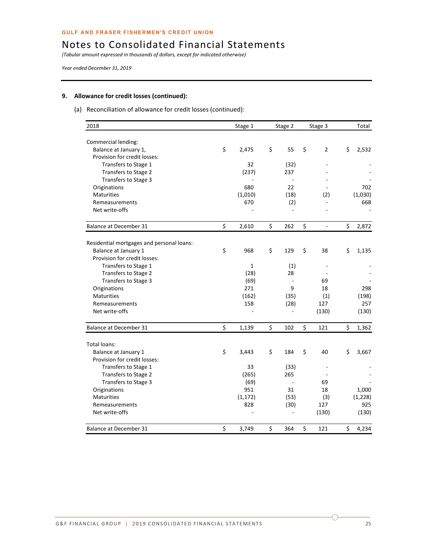### Notes to Consolidated Financial Statements

*(Tabular amount expressed in thousands of dollars, except for indicated otherwise)*

*Year ended December 31, 2019*

### **9. Allowance for credit losses (continued):**

### (a) Reconciliation of allowance for credit losses (continued):

| 2018                                      | Stage 1     | Stage 2   | Stage 3   | Total       |
|-------------------------------------------|-------------|-----------|-----------|-------------|
| Commercial lending:                       |             |           |           |             |
| Balance at January 1,                     | \$<br>2,475 | \$<br>55  | \$<br>2   | \$<br>2,532 |
| Provision for credit losses:              |             |           |           |             |
| Transfers to Stage 1                      | 32          | (32)      |           |             |
| Transfers to Stage 2                      | (237)       | 237       |           |             |
| Transfers to Stage 3                      |             |           |           |             |
| Originations                              | 680         | 22        |           | 702         |
| <b>Maturities</b>                         | (1,010)     | (18)      | (2)       | (1,030)     |
| Remeasurements                            | 670         | (2)       |           | 668         |
| Net write-offs                            |             |           |           |             |
| <b>Balance at December 31</b>             | \$<br>2,610 | \$<br>262 | \$<br>÷,  | \$<br>2,872 |
| Residential mortgages and personal loans: |             |           |           |             |
| Balance at January 1                      | \$<br>968   | \$<br>129 | \$<br>38  | \$<br>1,135 |
| Provision for credit losses:              |             |           |           |             |
| Transfers to Stage 1                      | 1           | (1)       |           |             |
| Transfers to Stage 2                      | (28)        | 28        |           |             |
| Transfers to Stage 3                      | (69)        | ÷,        | 69        |             |
| Originations                              | 271         | 9         | 18        | 298         |
| Maturities                                | (162)       | (35)      | (1)       | (198)       |
| Remeasurements                            | 158         | (28)      | 127       | 257         |
| Net write-offs                            |             |           | (130)     | (130)       |
| Balance at December 31                    | \$<br>1,139 | \$<br>102 | \$<br>121 | \$<br>1,362 |
| Total loans:                              |             |           |           |             |
| Balance at January 1                      | \$<br>3,443 | \$<br>184 | \$<br>40  | \$<br>3,667 |
| Provision for credit losses:              |             |           |           |             |
| Transfers to Stage 1                      | 33          | (33)      |           |             |
| Transfers to Stage 2                      | (265)       | 265       |           |             |
| Transfers to Stage 3                      | (69)        |           | 69        |             |
| Originations                              | 951         | 31        | 18        | 1,000       |
| <b>Maturities</b>                         | (1, 172)    | (53)      | (3)       | (1, 228)    |
| Remeasurements                            | 828         | (30)      | 127       | 925         |
| Net write-offs                            |             |           | (130)     | (130)       |
| Balance at December 31                    | \$<br>3,749 | \$<br>364 | \$<br>121 | \$<br>4,234 |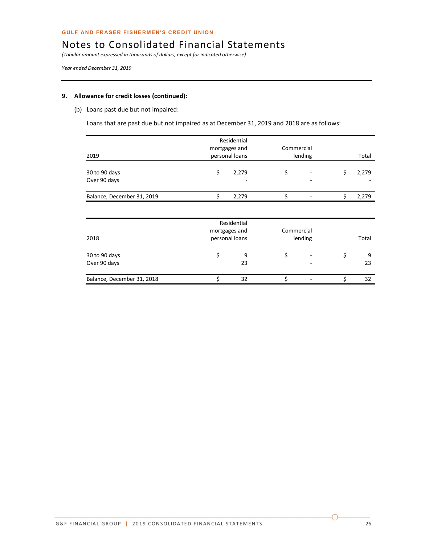*(Tabular amount expressed in thousands of dollars, except for indicated otherwise)*

*Year ended December 31, 2019*

### **9. Allowance for credit losses (continued):**

(b) Loans past due but not impaired:

Loans that are past due but not impaired as at December 31, 2019 and 2018 are as follows:

| 2019                          | Residential<br>mortgages and<br>personal loans | Commercial | lending                       | Total |
|-------------------------------|------------------------------------------------|------------|-------------------------------|-------|
| 30 to 90 days<br>Over 90 days | 2,279<br>-                                     |            | $\overline{\phantom{a}}$<br>۰ | 2,279 |
| Balance, December 31, 2019    | 2.279                                          |            |                               | 2,279 |

| 2018                          | mortgages and | Residential<br>personal loans | Commercial<br>lending |  | Total   |  |
|-------------------------------|---------------|-------------------------------|-----------------------|--|---------|--|
| 30 to 90 days<br>Over 90 days |               | 9<br>23                       |                       |  | 9<br>23 |  |
| Balance, December 31, 2018    |               | 32                            |                       |  | 32      |  |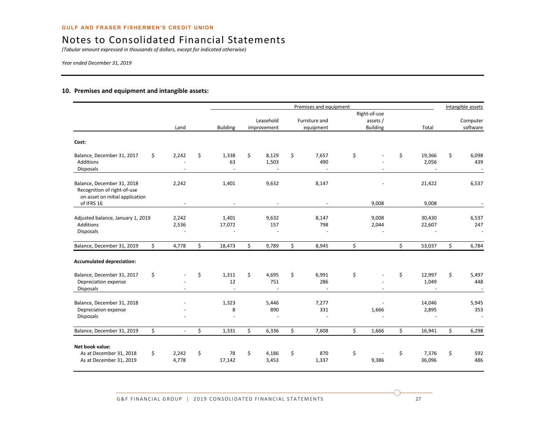*(Tabular amount expressed in thousands of dollars, except for indicated otherwise)*

*Year ended December 31, 2019*

### **10. Premises and equipment and intangible assets:**

|                                                                                              |    |                          |                    |                          | Premises and equipment     |                             |                       | Intangible assets    |
|----------------------------------------------------------------------------------------------|----|--------------------------|--------------------|--------------------------|----------------------------|-----------------------------|-----------------------|----------------------|
|                                                                                              |    |                          |                    |                          |                            | Right-of-use                |                       |                      |
|                                                                                              |    | Land                     | <b>Building</b>    | Leasehold<br>improvement | Furniture and<br>equipment | assets /<br><b>Building</b> | Total                 | Computer<br>software |
|                                                                                              |    |                          |                    |                          |                            |                             |                       |                      |
| Cost:                                                                                        |    |                          |                    |                          |                            |                             |                       |                      |
| Balance, December 31, 2017                                                                   | \$ | 2,242                    | \$<br>1,338        | \$<br>8,129              | \$<br>7,657                | \$                          | \$<br>19,366          | \$<br>6,098          |
| Additions<br><b>Disposals</b>                                                                |    |                          | 63                 | 1,503                    | 490                        |                             | 2,056                 | 439                  |
| Balance, December 31, 2018<br>Recognition of right-of-use<br>on asset on initial application |    | 2,242                    | 1,401              | 9,632                    | 8,147                      |                             | 21,422                | 6,537                |
| of IFRS 16                                                                                   |    | $\overline{\phantom{a}}$ | $\blacksquare$     |                          |                            | 9,008                       | 9,008                 |                      |
| Adjusted balance, January 1, 2019                                                            |    | 2,242                    | 1,401              | 9,632                    | 8,147                      | 9,008                       | 30,430                | 6,537                |
| Additions                                                                                    |    | 2,536                    | 17,072             | 157                      | 798                        | 2,044                       | 22,607                | 247                  |
| <b>Disposals</b>                                                                             |    |                          |                    |                          |                            |                             |                       |                      |
| Balance, December 31, 2019                                                                   | Ś. | 4,778                    | \$<br>18,473       | \$<br>9,789              | \$<br>8,945                | \$                          | \$<br>53,037          | \$<br>6,784          |
| <b>Accumulated depreciation:</b>                                                             |    |                          |                    |                          |                            |                             |                       |                      |
| Balance, December 31, 2017                                                                   | \$ |                          | \$<br>1,311        | \$<br>4,695              | \$<br>6,991                | \$                          | \$<br>12,997          | \$<br>5,497          |
| Depreciation expense                                                                         |    |                          | 12                 | 751                      | 286                        |                             | 1,049                 | 448                  |
| Disposals                                                                                    |    |                          |                    |                          | $\overline{\phantom{a}}$   |                             |                       |                      |
| Balance, December 31, 2018                                                                   |    |                          | 1,323              | 5,446                    | 7,277                      |                             | 14,046                | 5,945                |
| Depreciation expense                                                                         |    |                          | 8                  | 890                      | 331                        | 1,666                       | 2,895                 | 353                  |
| <b>Disposals</b>                                                                             |    |                          |                    |                          |                            |                             |                       |                      |
| Balance, December 31, 2019                                                                   | \$ | $\overline{\phantom{a}}$ | \$<br>1,331        | \$<br>6,336              | \$<br>7,608                | \$<br>1,666                 | \$<br>16,941          | \$<br>6,298          |
| Net book value:                                                                              |    |                          |                    |                          |                            |                             |                       |                      |
| As at December 31, 2018<br>As at December 31, 2019                                           | \$ | 2,242<br>4,778           | \$<br>78<br>17,142 | \$<br>4,186<br>3,453     | \$<br>870<br>1,337         | \$<br>9,386                 | \$<br>7,376<br>36,096 | \$<br>592<br>486     |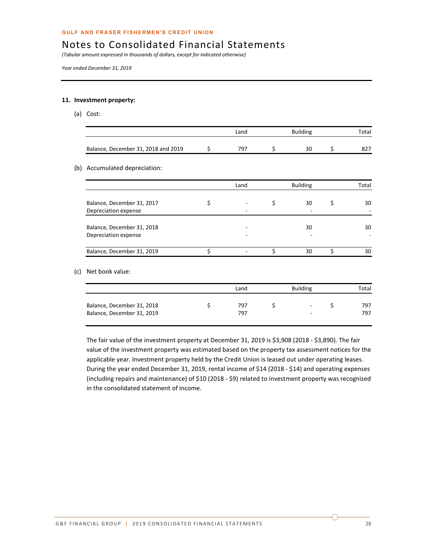### Notes to Consolidated Financial Statements

*(Tabular amount expressed in thousands of dollars, except for indicated otherwise)*

*Year ended December 31, 2019*

### **11. Investment property:**

(a) Cost:

|                                     | Land | <b>Building</b> | ⊺otal |
|-------------------------------------|------|-----------------|-------|
| Balance, December 31, 2018 and 2019 | 797  | 30              |       |

### (b) Accumulated depreciation:

|                                                    | Land | <b>Building</b> | Total |
|----------------------------------------------------|------|-----------------|-------|
| Balance, December 31, 2017<br>Depreciation expense |      | 30              | 30    |
| Balance, December 31, 2018<br>Depreciation expense |      | 30              | 30    |
| Balance, December 31, 2019                         |      | 30              | 30    |

### (c) Net book value:

|                                                          | Land       | <b>Building</b> |                                                      |  | Total      |
|----------------------------------------------------------|------------|-----------------|------------------------------------------------------|--|------------|
| Balance, December 31, 2018<br>Balance, December 31, 2019 | 797<br>797 |                 | $\overline{\phantom{a}}$<br>$\overline{\phantom{0}}$ |  | 797<br>797 |

The fair value of the investment property at December 31, 2019 is \$3,908 (2018 - \$3,890). The fair value of the investment property was estimated based on the property tax assessment notices for the applicable year. Investment property held by the Credit Union is leased out under operating leases. During the year ended December 31, 2019, rental income of \$14 (2018 - \$14) and operating expenses (including repairs and maintenance) of \$10 (2018 - \$9) related to investment property was recognized in the consolidated statement of income.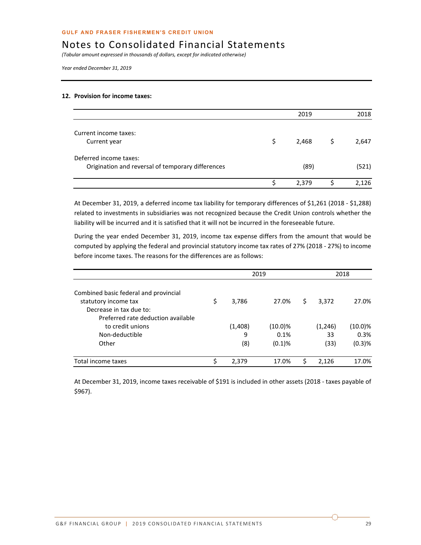### Notes to Consolidated Financial Statements

*(Tabular amount expressed in thousands of dollars, except for indicated otherwise)*

*Year ended December 31, 2019*

### **12. Provision for income taxes:**

|                                                                             | 2019        | 2018  |
|-----------------------------------------------------------------------------|-------------|-------|
| Current income taxes:<br>Current year                                       | \$<br>2,468 | 2,647 |
| Deferred income taxes:<br>Origination and reversal of temporary differences | (89)        | (521) |
|                                                                             | 2.379       | 2.126 |

At December 31, 2019, a deferred income tax liability for temporary differences of \$1,261 (2018 - \$1,288) related to investments in subsidiaries was not recognized because the Credit Union controls whether the liability will be incurred and it is satisfied that it will not be incurred in the foreseeable future.

During the year ended December 31, 2019, income tax expense differs from the amount that would be computed by applying the federal and provincial statutory income tax rates of 27% (2018 - 27%) to income before income taxes. The reasons for the differences are as follows:

|                                                                                       | 2019 |         |            |    | 2018     |            |  |
|---------------------------------------------------------------------------------------|------|---------|------------|----|----------|------------|--|
| Combined basic federal and provincial                                                 |      | 3,786   | 27.0%      | \$ | 3,372    | 27.0%      |  |
| statutory income tax<br>Decrease in tax due to:<br>Preferred rate deduction available | \$   |         |            |    |          |            |  |
| to credit unions                                                                      |      | (1,408) | $(10.0)\%$ |    | (1, 246) | $(10.0)\%$ |  |
| Non-deductible                                                                        |      | 9       | 0.1%       |    | 33       | 0.3%       |  |
| Other                                                                                 |      | (8)     | (0.1)%     |    | (33)     | (0.3)%     |  |
| Total income taxes                                                                    |      | 2,379   | 17.0%      | Ś  | 2,126    | 17.0%      |  |

At December 31, 2019, income taxes receivable of \$191 is included in other assets (2018 - taxes payable of \$967).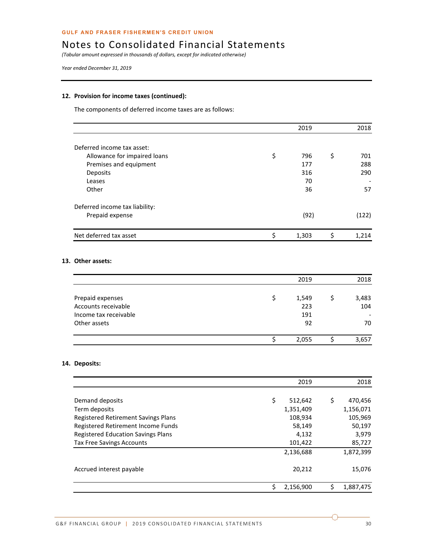### Notes to Consolidated Financial Statements

*(Tabular amount expressed in thousands of dollars, except for indicated otherwise)*

*Year ended December 31, 2019*

### **12. Provision for income taxes (continued):**

The components of deferred income taxes are as follows:

|                                | 2019        | 2018        |
|--------------------------------|-------------|-------------|
| Deferred income tax asset:     |             |             |
| Allowance for impaired loans   | \$<br>796   | \$<br>701   |
| Premises and equipment         | 177         | 288         |
| Deposits                       | 316         | 290         |
| Leases                         | 70          |             |
| Other                          | 36          | 57          |
| Deferred income tax liability: |             |             |
| Prepaid expense                | (92)        | (122)       |
| Net deferred tax asset         | \$<br>1,303 | \$<br>1.214 |

### **13. Other assets:**

|                       |   | 2019  | 2018  |
|-----------------------|---|-------|-------|
| Prepaid expenses      | Ş | 1,549 | 3,483 |
| Accounts receivable   |   | 223   | 104   |
| Income tax receivable |   | 191   |       |
| Other assets          |   | 92    | 70    |
|                       |   | 2,055 | 3,657 |

### **14. Deposits:**

|                                           | 2019           | 2018          |
|-------------------------------------------|----------------|---------------|
| Demand deposits                           | \$<br>512,642  | \$<br>470,456 |
| Term deposits                             | 1,351,409      | 1,156,071     |
| Registered Retirement Savings Plans       | 108,934        | 105,969       |
| Registered Retirement Income Funds        | 58,149         | 50,197        |
| <b>Registered Education Savings Plans</b> | 4,132          | 3,979         |
| <b>Tax Free Savings Accounts</b>          | 101,422        | 85,727        |
|                                           | 2,136,688      | 1,872,399     |
| Accrued interest payable                  | 20,212         | 15,076        |
|                                           | ς<br>2,156,900 | 1,887,475     |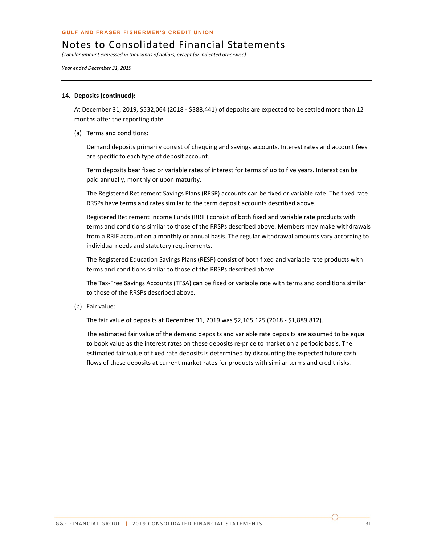*(Tabular amount expressed in thousands of dollars, except for indicated otherwise)*

*Year ended December 31, 2019*

#### **14. Deposits (continued):**

At December 31, 2019, \$532,064 (2018 - \$388,441) of deposits are expected to be settled more than 12 months after the reporting date.

(a) Terms and conditions:

Demand deposits primarily consist of chequing and savings accounts. Interest rates and account fees are specific to each type of deposit account.

Term deposits bear fixed or variable rates of interest for terms of up to five years. Interest can be paid annually, monthly or upon maturity.

The Registered Retirement Savings Plans (RRSP) accounts can be fixed or variable rate. The fixed rate RRSPs have terms and rates similar to the term deposit accounts described above.

Registered Retirement Income Funds (RRIF) consist of both fixed and variable rate products with terms and conditions similar to those of the RRSPs described above. Members may make withdrawals from a RRIF account on a monthly or annual basis. The regular withdrawal amounts vary according to individual needs and statutory requirements.

The Registered Education Savings Plans (RESP) consist of both fixed and variable rate products with terms and conditions similar to those of the RRSPs described above.

The Tax-Free Savings Accounts (TFSA) can be fixed or variable rate with terms and conditions similar to those of the RRSPs described above.

(b) Fair value:

The fair value of deposits at December 31, 2019 was \$2,165,125 (2018 - \$1,889,812).

The estimated fair value of the demand deposits and variable rate deposits are assumed to be equal to book value as the interest rates on these deposits re-price to market on a periodic basis. The estimated fair value of fixed rate deposits is determined by discounting the expected future cash flows of these deposits at current market rates for products with similar terms and credit risks.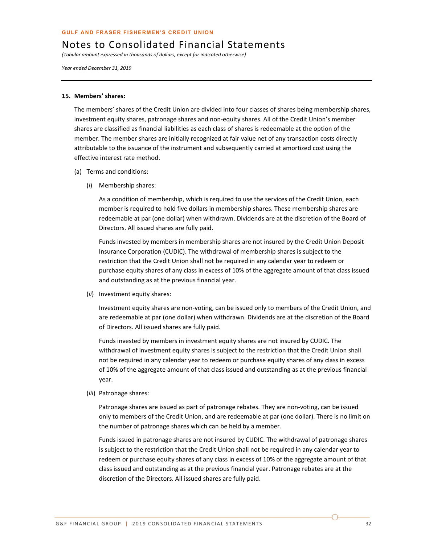### Notes to Consolidated Financial Statements

*(Tabular amount expressed in thousands of dollars, except for indicated otherwise)*

*Year ended December 31, 2019*

### **15. Members' shares:**

The members' shares of the Credit Union are divided into four classes of shares being membership shares, investment equity shares, patronage shares and non-equity shares. All of the Credit Union's member shares are classified as financial liabilities as each class of shares is redeemable at the option of the member. The member shares are initially recognized at fair value net of any transaction costs directly attributable to the issuance of the instrument and subsequently carried at amortized cost using the effective interest rate method.

- (a) Terms and conditions:
	- (*i*) Membership shares:

As a condition of membership, which is required to use the services of the Credit Union, each member is required to hold five dollars in membership shares. These membership shares are redeemable at par (one dollar) when withdrawn. Dividends are at the discretion of the Board of Directors. All issued shares are fully paid.

Funds invested by members in membership shares are not insured by the Credit Union Deposit Insurance Corporation (CUDIC). The withdrawal of membership shares is subject to the restriction that the Credit Union shall not be required in any calendar year to redeem or purchase equity shares of any class in excess of 10% of the aggregate amount of that class issued and outstanding as at the previous financial year.

(*ii*) Investment equity shares:

Investment equity shares are non-voting, can be issued only to members of the Credit Union, and are redeemable at par (one dollar) when withdrawn. Dividends are at the discretion of the Board of Directors. All issued shares are fully paid.

Funds invested by members in investment equity shares are not insured by CUDIC. The withdrawal of investment equity shares is subject to the restriction that the Credit Union shall not be required in any calendar year to redeem or purchase equity shares of any class in excess of 10% of the aggregate amount of that class issued and outstanding as at the previous financial year.

(*iii*) Patronage shares:

Patronage shares are issued as part of patronage rebates. They are non-voting, can be issued only to members of the Credit Union, and are redeemable at par (one dollar). There is no limit on the number of patronage shares which can be held by a member.

Funds issued in patronage shares are not insured by CUDIC. The withdrawal of patronage shares is subject to the restriction that the Credit Union shall not be required in any calendar year to redeem or purchase equity shares of any class in excess of 10% of the aggregate amount of that class issued and outstanding as at the previous financial year. Patronage rebates are at the discretion of the Directors. All issued shares are fully paid.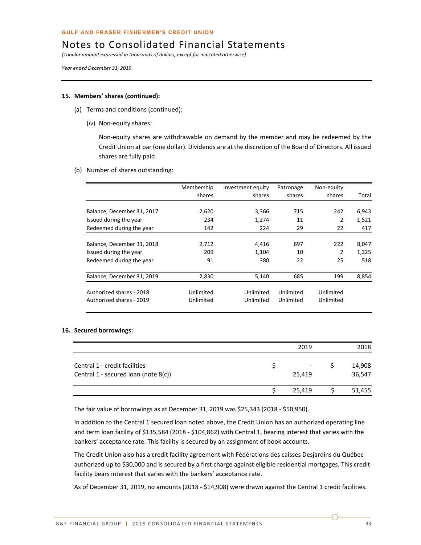*(Tabular amount expressed in thousands of dollars, except for indicated otherwise)*

*Year ended December 31, 2019*

### **15. Members' shares (continued):**

- (a) Terms and conditions (continued):
	- (*iv*) Non-equity shares*:*

Non-equity shares are withdrawable on demand by the member and may be redeemed by the Credit Union at par (one dollar). Dividends are at the discretion of the Board of Directors. All issued shares are fully paid.

(b) Number of shares outstanding:

|                            | Membership | Investment equity | Patronage | Non-equity |       |
|----------------------------|------------|-------------------|-----------|------------|-------|
|                            | shares     | shares            | shares    | shares     | Total |
|                            |            |                   |           |            |       |
| Balance, December 31, 2017 | 2,620      | 3,366             | 715       | 242        | 6,943 |
| Issued during the year     | 234        | 1.274             | 11        | 2          | 1,521 |
| Redeemed during the year   | 142        | 224               | 29        | 22         | 417   |
|                            |            |                   |           |            |       |
| Balance, December 31, 2018 | 2,712      | 4,416             | 697       | 222        | 8,047 |
| Issued during the year     | 209        | 1,104             | 10        | 2          | 1,325 |
| Redeemed during the year   | 91         | 380               | 22        | 25         | 518   |
| Balance, December 31, 2019 | 2,830      | 5,140             | 685       | 199        | 8,854 |
| Authorized shares - 2018   | Unlimited  | Unlimited         | Unlimited | Unlimited  |       |
| Authorized shares - 2019   | Unlimited  | Unlimited         | Unlimited | Unlimited  |       |

### **16. Secured borrowings:**

|                                                                       | 2019                               | 2018             |
|-----------------------------------------------------------------------|------------------------------------|------------------|
| Central 1 - credit facilities<br>Central 1 - secured loan (note 8(c)) | $\overline{\phantom{0}}$<br>25,419 | 14,908<br>36,547 |
|                                                                       | 25,419                             | 51,455           |

The fair value of borrowings as at December 31, 2019 was \$25,343 (2018 - \$50,950).

In addition to the Central 1 secured loan noted above, the Credit Union has an authorized operating line and term loan facility of \$135,584 (2018 - \$104,862) with Central 1, bearing interest that varies with the bankers' acceptance rate. This facility is secured by an assignment of book accounts.

The Credit Union also has a credit facility agreement with Fédérations des caisses Desjardins du Québec authorized up to \$30,000 and is secured by a first charge against eligible residential mortgages. This credit facility bears interest that varies with the bankers' acceptance rate.

As of December 31, 2019, no amounts (2018 - \$14,908) were drawn against the Central 1 credit facilities.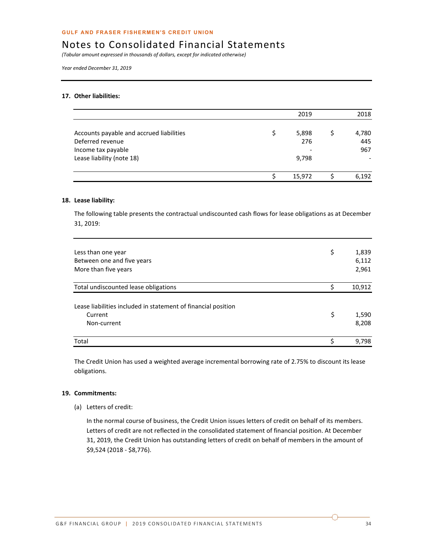### Notes to Consolidated Financial Statements

*(Tabular amount expressed in thousands of dollars, except for indicated otherwise)*

*Year ended December 31, 2019*

### **17. Other liabilities:**

|                                          | 2019        | 2018  |
|------------------------------------------|-------------|-------|
| Accounts payable and accrued liabilities | \$<br>5,898 | 4,780 |
| Deferred revenue                         | 276         | 445   |
| Income tax payable                       |             | 967   |
| Lease liability (note 18)                | 9,798       |       |
|                                          | 15,972      | 6,192 |

### **18. Lease liability:**

The following table presents the contractual undiscounted cash flows for lease obligations as at December 31, 2019:

| Less than one year<br>Between one and five years<br>More than five years                | \$ | 1,839<br>6,112<br>2,961 |
|-----------------------------------------------------------------------------------------|----|-------------------------|
| Total undiscounted lease obligations                                                    | Ś  | 10,912                  |
| Lease liabilities included in statement of financial position<br>Current<br>Non-current | \$ | 1,590<br>8,208          |
| Total                                                                                   |    | 9,798                   |

The Credit Union has used a weighted average incremental borrowing rate of 2.75% to discount its lease obligations.

### **19. Commitments:**

(a) Letters of credit:

In the normal course of business, the Credit Union issues letters of credit on behalf of its members. Letters of credit are not reflected in the consolidated statement of financial position. At December 31, 2019, the Credit Union has outstanding letters of credit on behalf of members in the amount of \$9,524 (2018 - \$8,776).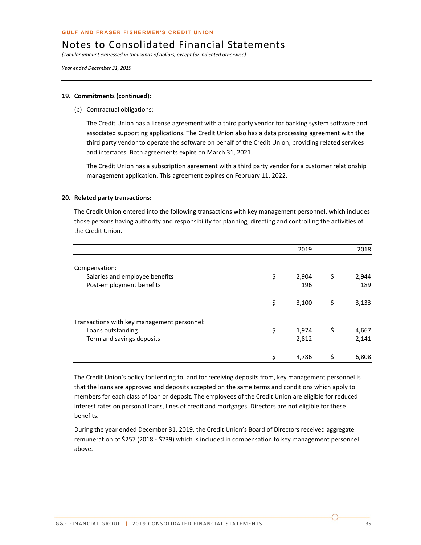*(Tabular amount expressed in thousands of dollars, except for indicated otherwise)*

*Year ended December 31, 2019*

#### **19. Commitments (continued):**

(b) Contractual obligations:

The Credit Union has a license agreement with a third party vendor for banking system software and associated supporting applications. The Credit Union also has a data processing agreement with the third party vendor to operate the software on behalf of the Credit Union, providing related services and interfaces. Both agreements expire on March 31, 2021.

The Credit Union has a subscription agreement with a third party vendor for a customer relationship management application. This agreement expires on February 11, 2022.

### **20. Related party transactions:**

The Credit Union entered into the following transactions with key management personnel, which includes those persons having authority and responsibility for planning, directing and controlling the activities of the Credit Union.

|                                             |    | 2019  |    | 2018  |
|---------------------------------------------|----|-------|----|-------|
| Compensation:                               |    |       |    |       |
| Salaries and employee benefits              | \$ | 2,904 | \$ | 2,944 |
| Post-employment benefits                    |    | 196   |    | 189   |
|                                             | \$ | 3,100 | ς  | 3,133 |
| Transactions with key management personnel: |    |       |    |       |
| Loans outstanding                           | \$ | 1,974 | \$ | 4,667 |
| Term and savings deposits                   |    | 2,812 |    | 2,141 |
|                                             | ς  | 4,786 |    | 6,808 |

The Credit Union's policy for lending to, and for receiving deposits from, key management personnel is that the loans are approved and deposits accepted on the same terms and conditions which apply to members for each class of loan or deposit. The employees of the Credit Union are eligible for reduced interest rates on personal loans, lines of credit and mortgages. Directors are not eligible for these benefits.

During the year ended December 31, 2019, the Credit Union's Board of Directors received aggregate remuneration of \$257 (2018 - \$239) which is included in compensation to key management personnel above.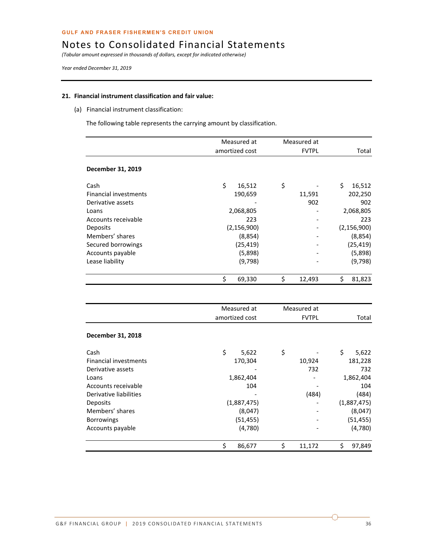*(Tabular amount expressed in thousands of dollars, except for indicated otherwise)*

*Year ended December 31, 2019*

### **21. Financial instrument classification and fair value:**

(a) Financial instrument classification:

The following table represents the carrying amount by classification.

|                              | Measured at    | Measured at  |               |
|------------------------------|----------------|--------------|---------------|
|                              | amortized cost | <b>FVTPL</b> | Total         |
| December 31, 2019            |                |              |               |
| Cash                         | \$<br>16,512   | \$           | Ś.<br>16,512  |
| <b>Financial investments</b> | 190,659        | 11,591       | 202,250       |
| Derivative assets            |                | 902          | 902           |
| Loans                        | 2,068,805      |              | 2,068,805     |
| Accounts receivable          | 223            |              | 223           |
| Deposits                     | (2, 156, 900)  |              | (2, 156, 900) |
| Members' shares              | (8,854)        |              | (8,854)       |
| Secured borrowings           | (25, 419)      |              | (25, 419)     |
| Accounts payable             | (5,898)        |              | (5,898)       |
| Lease liability              | (9,798)        |              | (9,798)       |
|                              | \$<br>69,330   | \$<br>12,493 | \$<br>81,823  |

|                              | Measured at    | Measured at  |              |
|------------------------------|----------------|--------------|--------------|
|                              | amortized cost | <b>FVTPL</b> | Total        |
| December 31, 2018            |                |              |              |
| Cash                         | \$<br>5,622    | \$           | \$<br>5,622  |
| <b>Financial investments</b> | 170,304        | 10,924       | 181,228      |
| Derivative assets            |                | 732          | 732          |
| Loans                        | 1,862,404      |              | 1,862,404    |
| Accounts receivable          | 104            |              | 104          |
| Derivative liabilities       |                | (484)        | (484)        |
| Deposits                     | (1,887,475)    |              | (1,887,475)  |
| Members' shares              | (8,047)        |              | (8,047)      |
| <b>Borrowings</b>            | (51, 455)      |              | (51,455)     |
| Accounts payable             | (4,780)        |              | (4,780)      |
|                              | \$<br>86,677   | \$<br>11,172 | \$<br>97,849 |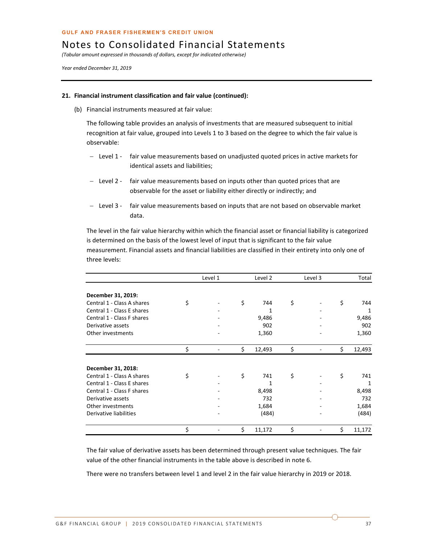*(Tabular amount expressed in thousands of dollars, except for indicated otherwise)*

*Year ended December 31, 2019*

#### **21. Financial instrument classification and fair value (continued):**

(b) Financial instruments measured at fair value:

The following table provides an analysis of investments that are measured subsequent to initial recognition at fair value, grouped into Levels 1 to 3 based on the degree to which the fair value is observable:

- − Level 1 fair value measurements based on unadjusted quoted prices in active markets for identical assets and liabilities;
- − Level 2 fair value measurements based on inputs other than quoted prices that are observable for the asset or liability either directly or indirectly; and
- − Level 3 fair value measurements based on inputs that are not based on observable market data.

The level in the fair value hierarchy within which the financial asset or financial liability is categorized is determined on the basis of the lowest level of input that is significant to the fair value measurement. Financial assets and financial liabilities are classified in their entirety into only one of three levels:

|                            | Level 1 | Level 2      | Level 3 | Total        |
|----------------------------|---------|--------------|---------|--------------|
| December 31, 2019:         |         |              |         |              |
| Central 1 - Class A shares | \$      | \$<br>744    | \$      | \$<br>744    |
| Central 1 - Class E shares |         | 1            |         | 1            |
| Central 1 - Class F shares |         | 9,486        |         | 9,486        |
| Derivative assets          |         | 902          |         | 902          |
| Other investments          |         | 1,360        |         | 1,360        |
|                            | \$      | \$<br>12,493 | \$      | \$<br>12,493 |
| December 31, 2018:         |         |              |         |              |
| Central 1 - Class A shares | \$      | \$<br>741    | \$      | \$<br>741    |
| Central 1 - Class E shares |         | 1            |         | 1            |
| Central 1 - Class F shares |         | 8,498        |         | 8,498        |
| Derivative assets          |         | 732          |         | 732          |
| Other investments          |         | 1,684        |         | 1,684        |
| Derivative liabilities     |         | (484)        |         | (484)        |
|                            | \$      | \$<br>11,172 | \$      | \$<br>11,172 |

The fair value of derivative assets has been determined through present value techniques. The fair value of the other financial instruments in the table above is described in note 6.

There were no transfers between level 1 and level 2 in the fair value hierarchy in 2019 or 2018.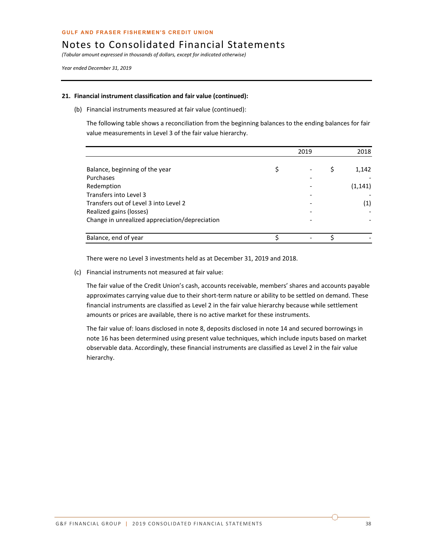*(Tabular amount expressed in thousands of dollars, except for indicated otherwise)*

*Year ended December 31, 2019*

#### **21. Financial instrument classification and fair value (continued):**

(b) Financial instruments measured at fair value (continued):

The following table shows a reconciliation from the beginning balances to the ending balances for fair value measurements in Level 3 of the fair value hierarchy.

|                                                |   | 2019 | 2018    |
|------------------------------------------------|---|------|---------|
|                                                |   |      |         |
| Balance, beginning of the year                 | Ś |      | 1,142   |
| Purchases                                      |   |      |         |
| Redemption                                     |   |      | (1,141) |
| Transfers into Level 3                         |   |      |         |
| Transfers out of Level 3 into Level 2          |   |      | (1)     |
| Realized gains (losses)                        |   |      |         |
| Change in unrealized appreciation/depreciation |   |      |         |
| Balance, end of year                           |   |      |         |

There were no Level 3 investments held as at December 31, 2019 and 2018.

(c) Financial instruments not measured at fair value:

The fair value of the Credit Union's cash, accounts receivable, members' shares and accounts payable approximates carrying value due to their short-term nature or ability to be settled on demand. These financial instruments are classified as Level 2 in the fair value hierarchy because while settlement amounts or prices are available, there is no active market for these instruments.

The fair value of: loans disclosed in note 8, deposits disclosed in note 14 and secured borrowings in note 16 has been determined using present value techniques, which include inputs based on market observable data. Accordingly, these financial instruments are classified as Level 2 in the fair value hierarchy.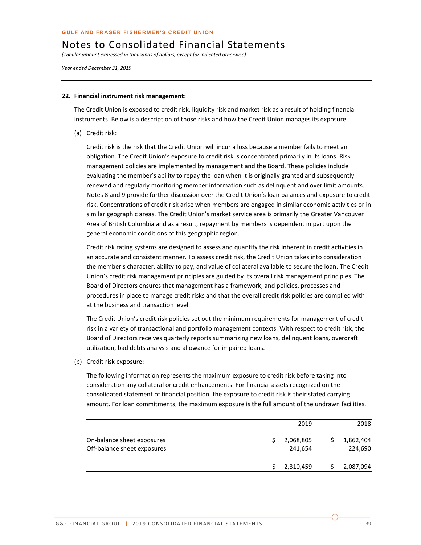### Notes to Consolidated Financial Statements

*(Tabular amount expressed in thousands of dollars, except for indicated otherwise)*

*Year ended December 31, 2019*

#### **22. Financial instrument risk management:**

The Credit Union is exposed to credit risk, liquidity risk and market risk as a result of holding financial instruments. Below is a description of those risks and how the Credit Union manages its exposure.

(a) Credit risk:

Credit risk is the risk that the Credit Union will incur a loss because a member fails to meet an obligation. The Credit Union's exposure to credit risk is concentrated primarily in its loans. Risk management policies are implemented by management and the Board. These policies include evaluating the member's ability to repay the loan when it is originally granted and subsequently renewed and regularly monitoring member information such as delinquent and over limit amounts. Notes 8 and 9 provide further discussion over the Credit Union's loan balances and exposure to credit risk. Concentrations of credit risk arise when members are engaged in similar economic activities or in similar geographic areas. The Credit Union's market service area is primarily the Greater Vancouver Area of British Columbia and as a result, repayment by members is dependent in part upon the general economic conditions of this geographic region.

Credit risk rating systems are designed to assess and quantify the risk inherent in credit activities in an accurate and consistent manner. To assess credit risk, the Credit Union takes into consideration the member's character, ability to pay, and value of collateral available to secure the loan. The Credit Union's credit risk management principles are guided by its overall risk management principles. The Board of Directors ensures that management has a framework, and policies, processes and procedures in place to manage credit risks and that the overall credit risk policies are complied with at the business and transaction level.

The Credit Union's credit risk policies set out the minimum requirements for management of credit risk in a variety of transactional and portfolio management contexts. With respect to credit risk, the Board of Directors receives quarterly reports summarizing new loans, delinquent loans, overdraft utilization, bad debts analysis and allowance for impaired loans.

(b) Credit risk exposure:

The following information represents the maximum exposure to credit risk before taking into consideration any collateral or credit enhancements. For financial assets recognized on the consolidated statement of financial position, the exposure to credit risk is their stated carrying amount. For loan commitments, the maximum exposure is the full amount of the undrawn facilities.

|                                                           | 2019                 | 2018                 |
|-----------------------------------------------------------|----------------------|----------------------|
| On-balance sheet exposures<br>Off-balance sheet exposures | 2,068,805<br>241,654 | 1,862,404<br>224,690 |
|                                                           | 2,310,459            | 2,087,094            |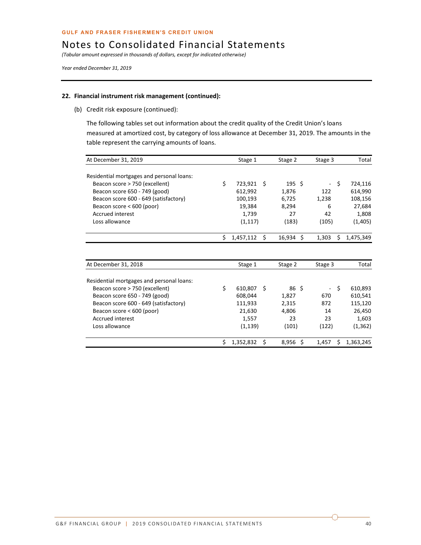*(Tabular amount expressed in thousands of dollars, except for indicated otherwise)*

*Year ended December 31, 2019*

### **22. Financial instrument risk management (continued):**

(b) Credit risk exposure (continued):

The following tables set out information about the credit quality of the Credit Union's loans measured at amortized cost, by category of loss allowance at December 31, 2019. The amounts in the table represent the carrying amounts of loans.

| At December 31, 2019                      |    | Stage 1   |    | Stage 2     | Stage 3 |    | Total     |
|-------------------------------------------|----|-----------|----|-------------|---------|----|-----------|
|                                           |    |           |    |             |         |    |           |
| Residential mortgages and personal loans: |    |           |    |             |         |    |           |
| Beacon score > 750 (excellent)            | Ś. | 723,921   | Ŝ. | 195 \$      |         | \$ | 724,116   |
| Beacon score 650 - 749 (good)             |    | 612,992   |    | 1,876       | 122     |    | 614,990   |
| Beacon score 600 - 649 (satisfactory)     |    | 100,193   |    | 6,725       | 1,238   |    | 108,156   |
| Beacon score < 600 (poor)                 |    | 19,384    |    | 8,294       | 6       |    | 27,684    |
| <b>Accrued interest</b>                   |    | 1,739     |    | 27          | 42      |    | 1,808     |
| Loss allowance                            |    | (1, 117)  |    | (183)       | (105)   |    | (1,405)   |
|                                           | \$ | 1,457,112 | \$ | $16,934$ \$ | 1,303   | Ŝ. | 1,475,349 |
| At December 31, 2018                      |    | Stage 1   |    | Stage 2     | Stage 3 |    | Total     |
|                                           |    |           |    |             |         |    |           |
| Residential mortgages and personal loans: |    |           |    |             |         |    |           |
| Beacon score > 750 (excellent)            | \$ | 610,807   | Ŝ. | 86 \$       |         | \$ | 610,893   |
| Beacon score 650 - 749 (good)             |    | 608,044   |    | 1,827       | 670     |    | 610,541   |
| Beacon score 600 - 649 (satisfactory)     |    | 111,933   |    | 2,315       | 872     |    | 115,120   |
| Beacon score < 600 (poor)                 |    | 21,630    |    | 4,806       | 14      |    | 26,450    |
| <b>Accrued interest</b>                   |    | 1,557     |    | 23          | 23      |    | 1,603     |
| Loss allowance                            |    | (1, 139)  |    | (101)       | (122)   |    | (1, 362)  |
|                                           | Ś. | 1,352,832 | \$ | Ŝ.<br>8,956 | 1,457   | Ŝ. | 1,363,245 |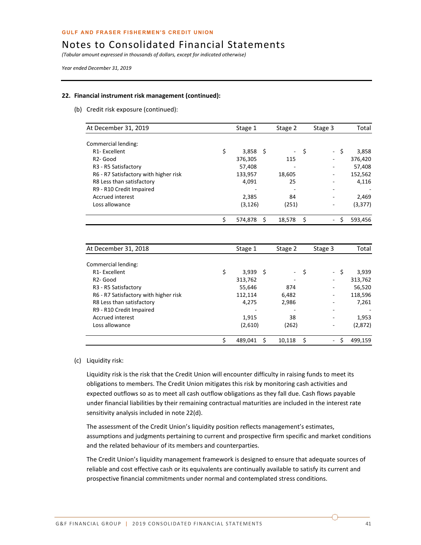### Notes to Consolidated Financial Statements

*(Tabular amount expressed in thousands of dollars, except for indicated otherwise)*

*Year ended December 31, 2019*

### **22. Financial instrument risk management (continued):**

(b) Credit risk exposure (continued):

| At December 31, 2019                         |    | Stage 1    |   | Stage 2 |      | Stage 3 |      | Total    |
|----------------------------------------------|----|------------|---|---------|------|---------|------|----------|
| Commercial lending:                          |    |            |   |         |      |         |      |          |
|                                              |    |            |   |         |      |         |      |          |
| R <sub>1</sub> -Excellent                    | \$ | $3,858$ \$ |   |         | - \$ |         | - \$ | 3,858    |
| R <sub>2</sub> - Good                        |    | 376,305    |   | 115     |      | ۰       |      | 376,420  |
| R <sub>3</sub> - R <sub>5</sub> Satisfactory |    | 57,408     |   |         |      | ٠       |      | 57,408   |
| R6 - R7 Satisfactory with higher risk        |    | 133,957    |   | 18,605  |      | ٠       |      | 152,562  |
| R8 Less than satisfactory                    |    | 4,091      |   | 25      |      |         |      | 4,116    |
| R9 - R10 Credit Impaired                     |    |            |   | ٠       |      | ٠       |      |          |
| Accrued interest                             |    | 2,385      |   | 84      |      | ٠       |      | 2,469    |
| Loss allowance                               |    | (3, 126)   |   | (251)   |      | ٠       |      | (3, 377) |
|                                              | \$ | 574,878    | Ŝ | 18,578  | \$   | $\sim$  | Ś    | 593,456  |

| At December 31, 2018                         |    | Stage 1 |      | Stage 2                  |   | Stage 3                  |     | Total   |
|----------------------------------------------|----|---------|------|--------------------------|---|--------------------------|-----|---------|
|                                              |    |         |      |                          |   |                          |     |         |
| Commercial lending:                          |    |         |      |                          |   |                          |     |         |
| R <sub>1</sub> -Excellent                    | \$ | 3,939   | - \$ | $\sim$ 10 $\pm$          | S | $\sim$                   | \$  | 3,939   |
| R <sub>2</sub> - Good                        |    | 313,762 |      | $\overline{\phantom{a}}$ |   | ٠                        |     | 313,762 |
| R <sub>3</sub> - R <sub>5</sub> Satisfactory |    | 55,646  |      | 874                      |   | $\overline{\phantom{0}}$ |     | 56,520  |
| R6 - R7 Satisfactory with higher risk        |    | 112,114 |      | 6,482                    |   | ٠                        |     | 118,596 |
| R8 Less than satisfactory                    |    | 4,275   |      | 2,986                    |   |                          |     | 7,261   |
| R9 - R10 Credit Impaired                     |    | -       |      | $\overline{\phantom{0}}$ |   |                          |     |         |
| Accrued interest                             |    | 1,915   |      | 38                       |   |                          |     | 1,953   |
| Loss allowance                               |    | (2,610) |      | (262)                    |   | ٠                        |     | (2,872) |
|                                              | Ś  | 489.041 |      | 10.118                   |   | $\sim$                   | \$. | 499.159 |

### (c) Liquidity risk:

Liquidity risk is the risk that the Credit Union will encounter difficulty in raising funds to meet its obligations to members. The Credit Union mitigates this risk by monitoring cash activities and expected outflows so as to meet all cash outflow obligations as they fall due. Cash flows payable under financial liabilities by their remaining contractual maturities are included in the interest rate sensitivity analysis included in note 22(d).

The assessment of the Credit Union's liquidity position reflects management's estimates, assumptions and judgments pertaining to current and prospective firm specific and market conditions and the related behaviour of its members and counterparties.

The Credit Union's liquidity management framework is designed to ensure that adequate sources of reliable and cost effective cash or its equivalents are continually available to satisfy its current and prospective financial commitments under normal and contemplated stress conditions.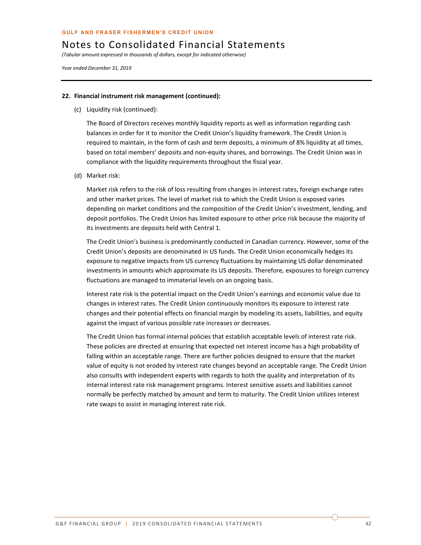### Notes to Consolidated Financial Statements

*(Tabular amount expressed in thousands of dollars, except for indicated otherwise)*

*Year ended December 31, 2019*

#### **22. Financial instrument risk management (continued):**

(c) Liquidity risk (continued):

The Board of Directors receives monthly liquidity reports as well as information regarding cash balances in order for it to monitor the Credit Union's liquidity framework. The Credit Union is required to maintain, in the form of cash and term deposits, a minimum of 8% liquidity at all times, based on total members' deposits and non-equity shares, and borrowings. The Credit Union was in compliance with the liquidity requirements throughout the fiscal year.

(d) Market risk:

Market risk refers to the risk of loss resulting from changes in interest rates, foreign exchange rates and other market prices. The level of market risk to which the Credit Union is exposed varies depending on market conditions and the composition of the Credit Union's investment, lending, and deposit portfolios. The Credit Union has limited exposure to other price risk because the majority of its investments are deposits held with Central 1.

The Credit Union's business is predominantly conducted in Canadian currency. However, some of the Credit Union's deposits are denominated in US funds. The Credit Union economically hedges its exposure to negative impacts from US currency fluctuations by maintaining US dollar denominated investments in amounts which approximate its US deposits. Therefore, exposures to foreign currency fluctuations are managed to immaterial levels on an ongoing basis.

Interest rate risk is the potential impact on the Credit Union's earnings and economic value due to changes in interest rates. The Credit Union continuously monitors its exposure to interest rate changes and their potential effects on financial margin by modeling its assets, liabilities, and equity against the impact of various possible rate increases or decreases.

The Credit Union has formal internal policies that establish acceptable levels of interest rate risk. These policies are directed at ensuring that expected net interest income has a high probability of falling within an acceptable range. There are further policies designed to ensure that the market value of equity is not eroded by interest rate changes beyond an acceptable range. The Credit Union also consults with independent experts with regards to both the quality and interpretation of its internal interest rate risk management programs. Interest sensitive assets and liabilities cannot normally be perfectly matched by amount and term to maturity. The Credit Union utilizes interest rate swaps to assist in managing interest rate risk.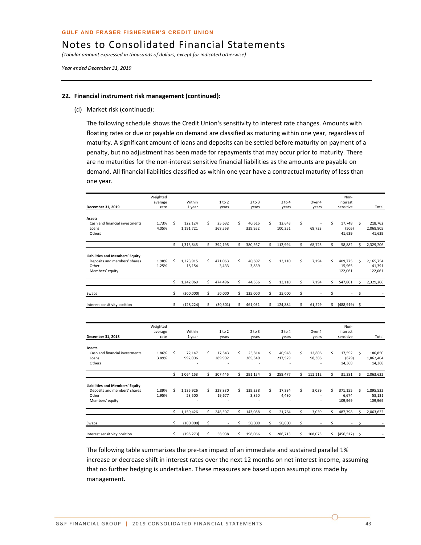### Notes to Consolidated Financial Statements

*(Tabular amount expressed in thousands of dollars, except for indicated otherwise)*

*Year ended December 31, 2019*

#### **22. Financial instrument risk management (continued):**

(d) Market risk (continued):

The following schedule shows the Credit Union's sensitivity to interest rate changes. Amounts with floating rates or due or payable on demand are classified as maturing within one year, regardless of maturity. A significant amount of loans and deposits can be settled before maturity on payment of a penalty, but no adjustment has been made for repayments that may occur prior to maturity. There are no maturities for the non-interest sensitive financial liabilities as the amounts are payable on demand. All financial liabilities classified as within one year have a contractual maturity of less than one year.

| December 31, 2019                                                                                  | Weighted<br>average<br>rate |    | Within<br>1 year     |    | 1 to 2<br>years   |    | $2$ to $3$<br>years |    | 3 to 4<br>years   |    | Over 4<br>years |   | Non-<br>interest<br>sensitive |    | Total                          |
|----------------------------------------------------------------------------------------------------|-----------------------------|----|----------------------|----|-------------------|----|---------------------|----|-------------------|----|-----------------|---|-------------------------------|----|--------------------------------|
| <b>Assets</b><br>Cash and financial investments<br>Loans<br>Others                                 | 1.73%<br>4.05%              | Ś  | 122,124<br>1,191,721 | Ś. | 25,632<br>368,563 | \$ | 40,615<br>339,952   | \$ | 12,643<br>100,351 | \$ | 68,723          | Ś | 17,748<br>(505)<br>41,639     | Ś  | 218,762<br>2,068,805<br>41,639 |
|                                                                                                    |                             | Ś. | 1,313,845            | Ś  | 394,195           | Ś  | 380,567             | Ś  | 112,994           | Ś. | 68,723          | Ś | 58,882                        | Ś. | 2,329,206                      |
| <b>Liabilities and Members' Equity</b><br>Deposits and members' shares<br>Other<br>Members' equity | 1.98%<br>1.25%              | Ś  | 1,223,915<br>18,154  | Ś. | 471,063<br>3,433  | Ś. | 40,697<br>3,839     | Ś. | 13,110            | Ś. | 7,194           | Ś | 409,775<br>15,965<br>122,061  | Ś  | 2,165,754<br>41,391<br>122,061 |
|                                                                                                    |                             | \$ | 1,242,069            | \$ | 474,496           | \$ | 44,536              | \$ | 13,110            | \$ | 7,194           | Ś | 547,801                       | Ś  | 2,329,206                      |
| Swaps                                                                                              |                             | \$ | (200,000)            | S  | 50,000            | Ś  | 125,000             | Ŝ  | 25,000            | \$ |                 | Ś | ٠                             | \$ |                                |
| Interest sensitivity position                                                                      |                             | Ś. | (128, 224)           |    | (30, 301)         | Ś  | 461,031             | Ś  | 124,884           | Ś. | 61,529          | Ś | (488, 919)                    | .s |                                |

| December 31, 2018                                                                                  | Weighted<br>average<br>rate |     | Within<br>1 year    |    | 1 to 2<br>years        |    | $2$ to $3$<br>years |    | 3 to 4<br>years   |    | Over 4<br>years  |   | Non-<br>interest<br>sensitive |    | Total                          |
|----------------------------------------------------------------------------------------------------|-----------------------------|-----|---------------------|----|------------------------|----|---------------------|----|-------------------|----|------------------|---|-------------------------------|----|--------------------------------|
| Assets<br>Cash and financial investments<br>Loans<br>Others                                        | 1.86%<br>3.89%              | Ś   | 72,147<br>992,006   | \$ | 17,543<br>289,902<br>٠ | Ś. | 25,814<br>265,340   | \$ | 40,948<br>217,529 | Ś. | 12,806<br>98,306 | Ś | 17,592<br>(679)<br>14,368     | \$ | 186,850<br>1,862,404<br>14,368 |
|                                                                                                    |                             | Ś   | 1,064,153           | Ś  | 307,445                | Ś  | 291,154             | Ś  | 258,477           | Ś  | 111,112          | Ś | 31,281                        | Ś  | 2,063,622                      |
| <b>Liabilities and Members' Equity</b><br>Deposits and members' shares<br>Other<br>Members' equity | 1.89%<br>1.95%              | \$. | 1,135,926<br>23,500 | Ś. | 228,830<br>19,677      | Ś. | 139,238<br>3,850    | \$ | 17,334<br>4,430   | \$ | 3,039<br>۰       | Ś | 371,155<br>6,674<br>109,969   | Ś  | 1,895,522<br>58,131<br>109,969 |
|                                                                                                    |                             | Ś   | 1,159,426           | Ś  | 248,507                | Ś  | 143,088             |    | 21,764            |    | 3,039            | Ś | 487,798                       | Ś  | 2,063,622                      |
| Swaps                                                                                              |                             | \$  | (100,000)           | \$ |                        | Ś  | 50,000              | Ś  | 50,000            | \$ |                  | Ś | $\overline{\phantom{a}}$      | \$ |                                |
| Interest sensitivity position                                                                      |                             | \$  | (195, 273)          | Ś  | 58,938                 | Ś  | 198,066             | Ś  | 286,713           |    | 108,073          | Ś | (456, 517)                    | Ŝ  |                                |

The following table summarizes the pre-tax impact of an immediate and sustained parallel 1% increase or decrease shift in interest rates over the next 12 months on net interest income, assuming that no further hedging is undertaken. These measures are based upon assumptions made by management.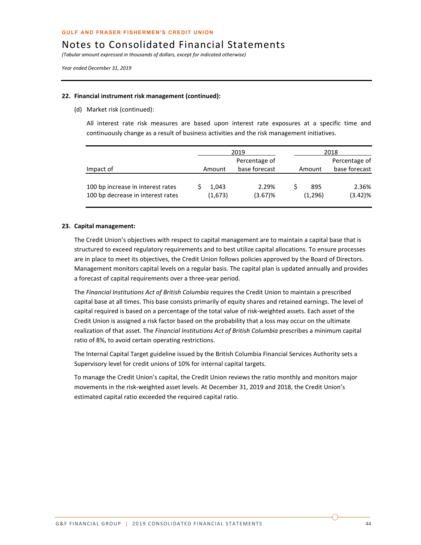*(Tabular amount expressed in thousands of dollars, except for indicated otherwise)*

*Year ended December 31, 2019*

#### **22. Financial instrument risk management (continued):**

(d) Market risk (continued):

All interest rate risk measures are based upon interest rate exposures at a specific time and continuously change as a result of business activities and the risk management initiatives.

|                                                                        |                  | 2019                           | 2018           |                                |  |  |
|------------------------------------------------------------------------|------------------|--------------------------------|----------------|--------------------------------|--|--|
| Impact of                                                              | Amount           | Percentage of<br>base forecast | Amount         | Percentage of<br>base forecast |  |  |
| 100 bp increase in interest rates<br>100 bp decrease in interest rates | 1,043<br>(1,673) | 2.29%<br>(3.67)%               | 895<br>(1,296) | 2.36%<br>$(3.42)\%$            |  |  |

### **23. Capital management:**

The Credit Union's objectives with respect to capital management are to maintain a capital base that is structured to exceed regulatory requirements and to best utilize capital allocations. To ensure processes are in place to meet its objectives, the Credit Union follows policies approved by the Board of Directors. Management monitors capital levels on a regular basis. The capital plan is updated annually and provides a forecast of capital requirements over a three-year period.

The *Financial Institutions Act of British Columbia* requires the Credit Union to maintain a prescribed capital base at all times. This base consists primarily of equity shares and retained earnings. The level of capital required is based on a percentage of the total value of risk-weighted assets. Each asset of the Credit Union is assigned a risk factor based on the probability that a loss may occur on the ultimate realization of that asset. The *Financial Institutions Act of British Columbia* prescribes a minimum capital ratio of 8%, to avoid certain operating restrictions.

The Internal Capital Target guideline issued by the British Columbia Financial Services Authority sets a Supervisory level for credit unions of 10% for internal capital targets.

To manage the Credit Union's capital, the Credit Union reviews the ratio monthly and monitors major movements in the risk-weighted asset levels. At December 31, 2019 and 2018, the Credit Union's estimated capital ratio exceeded the required capital ratio.